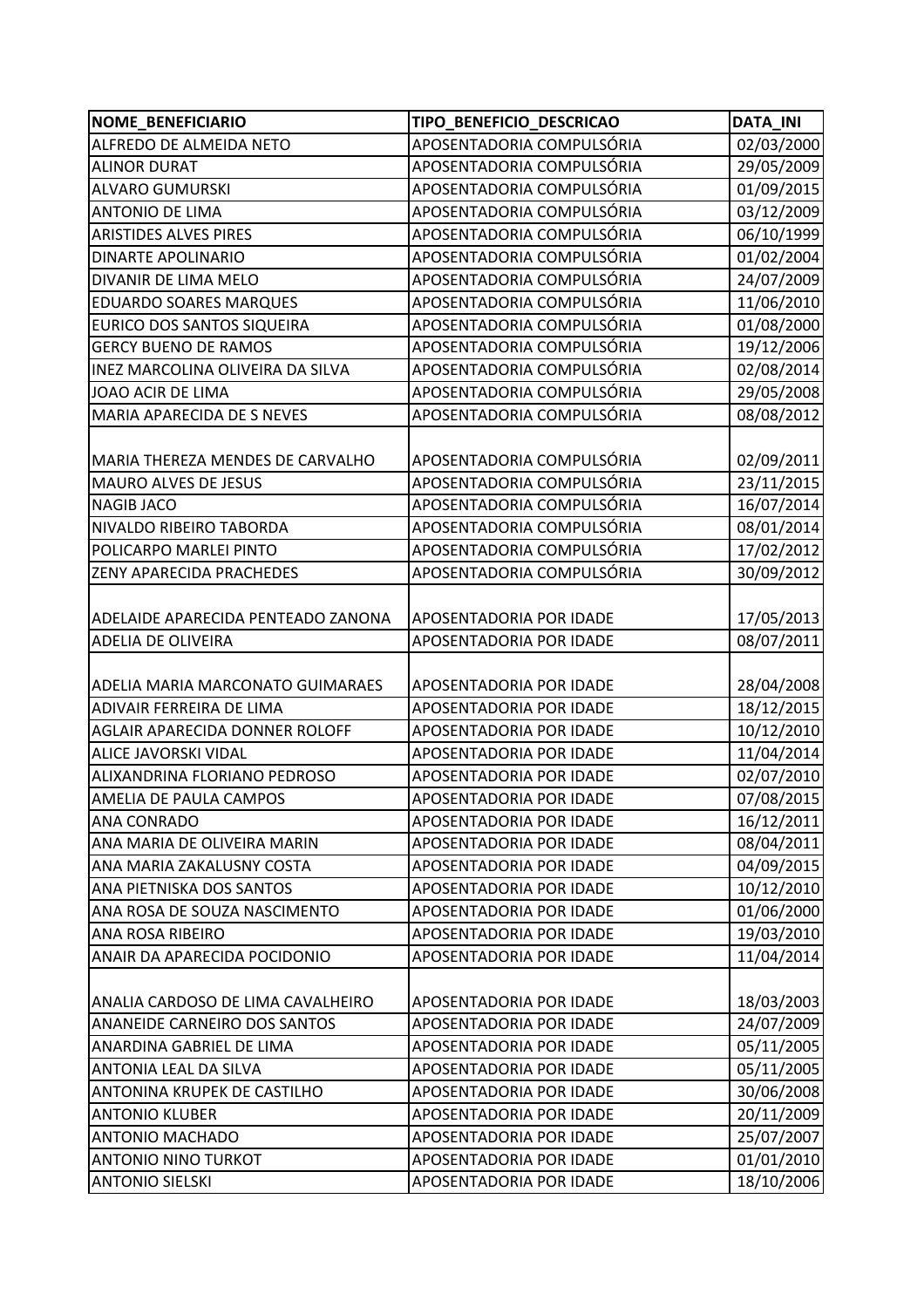| <b>NOME BENEFICIARIO</b>            | TIPO_BENEFICIO_DESCRICAO       | <b>DATA_INI</b> |
|-------------------------------------|--------------------------------|-----------------|
| ALFREDO DE ALMEIDA NETO             | APOSENTADORIA COMPULSÓRIA      | 02/03/2000      |
| <b>ALINOR DURAT</b>                 | APOSENTADORIA COMPULSÓRIA      | 29/05/2009      |
| <b>ALVARO GUMURSKI</b>              | APOSENTADORIA COMPULSÓRIA      | 01/09/2015      |
| <b>ANTONIO DE LIMA</b>              | APOSENTADORIA COMPULSÓRIA      | 03/12/2009      |
| <b>ARISTIDES ALVES PIRES</b>        | APOSENTADORIA COMPULSÓRIA      | 06/10/1999      |
| <b>DINARTE APOLINARIO</b>           | APOSENTADORIA COMPULSÓRIA      | 01/02/2004      |
| DIVANIR DE LIMA MELO                | APOSENTADORIA COMPULSÓRIA      | 24/07/2009      |
| <b>EDUARDO SOARES MARQUES</b>       | APOSENTADORIA COMPULSÓRIA      | 11/06/2010      |
| EURICO DOS SANTOS SIQUEIRA          | APOSENTADORIA COMPULSÓRIA      | 01/08/2000      |
| <b>GERCY BUENO DE RAMOS</b>         | APOSENTADORIA COMPULSÓRIA      | 19/12/2006      |
| INEZ MARCOLINA OLIVEIRA DA SILVA    | APOSENTADORIA COMPULSÓRIA      | 02/08/2014      |
| JOAO ACIR DE LIMA                   | APOSENTADORIA COMPULSÓRIA      | 29/05/2008      |
| MARIA APARECIDA DE S NEVES          | APOSENTADORIA COMPULSÓRIA      | 08/08/2012      |
|                                     |                                |                 |
| MARIA THEREZA MENDES DE CARVALHO    | APOSENTADORIA COMPULSÓRIA      | 02/09/2011      |
| <b>MAURO ALVES DE JESUS</b>         | APOSENTADORIA COMPULSÓRIA      | 23/11/2015      |
| <b>NAGIB JACO</b>                   | APOSENTADORIA COMPULSÓRIA      | 16/07/2014      |
| NIVALDO RIBEIRO TABORDA             | APOSENTADORIA COMPULSÓRIA      | 08/01/2014      |
| POLICARPO MARLEI PINTO              | APOSENTADORIA COMPULSÓRIA      | 17/02/2012      |
| ZENY APARECIDA PRACHEDES            | APOSENTADORIA COMPULSÓRIA      | 30/09/2012      |
|                                     |                                |                 |
| ADELAIDE APARECIDA PENTEADO ZANONA  | APOSENTADORIA POR IDADE        | 17/05/2013      |
| <b>ADELIA DE OLIVEIRA</b>           | APOSENTADORIA POR IDADE        | 08/07/2011      |
|                                     |                                |                 |
| ADELIA MARIA MARCONATO GUIMARAES    | APOSENTADORIA POR IDADE        | 28/04/2008      |
| ADIVAIR FERREIRA DE LIMA            | APOSENTADORIA POR IDADE        | 18/12/2015      |
| AGLAIR APARECIDA DONNER ROLOFF      | APOSENTADORIA POR IDADE        | 10/12/2010      |
| ALICE JAVORSKI VIDAL                | APOSENTADORIA POR IDADE        | 11/04/2014      |
| ALIXANDRINA FLORIANO PEDROSO        | APOSENTADORIA POR IDADE        | 02/07/2010      |
| AMELIA DE PAULA CAMPOS              | <b>APOSENTADORIA POR IDADE</b> | 07/08/2015      |
| ANA CONRADO                         | APOSENTADORIA POR IDADE        | 16/12/2011      |
| ANA MARIA DE OLIVEIRA MARIN         | APOSENTADORIA POR IDADE        | 08/04/2011      |
| ANA MARIA ZAKALUSNY COSTA           | APOSENTADORIA POR IDADE        | 04/09/2015      |
| ANA PIETNISKA DOS SANTOS            | APOSENTADORIA POR IDADE        | 10/12/2010      |
| ANA ROSA DE SOUZA NASCIMENTO        | APOSENTADORIA POR IDADE        | 01/06/2000      |
| ANA ROSA RIBEIRO                    | APOSENTADORIA POR IDADE        | 19/03/2010      |
| ANAIR DA APARECIDA POCIDONIO        | APOSENTADORIA POR IDADE        | 11/04/2014      |
|                                     |                                |                 |
| ANALIA CARDOSO DE LIMA CAVALHEIRO   | <b>APOSENTADORIA POR IDADE</b> | 18/03/2003      |
| <b>ANANEIDE CARNEIRO DOS SANTOS</b> | APOSENTADORIA POR IDADE        | 24/07/2009      |
| ANARDINA GABRIEL DE LIMA            | APOSENTADORIA POR IDADE        | 05/11/2005      |
| <b>ANTONIA LEAL DA SILVA</b>        | APOSENTADORIA POR IDADE        | 05/11/2005      |
| ANTONINA KRUPEK DE CASTILHO         | APOSENTADORIA POR IDADE        | 30/06/2008      |
| <b>ANTONIO KLUBER</b>               | APOSENTADORIA POR IDADE        | 20/11/2009      |
| <b>ANTONIO MACHADO</b>              | APOSENTADORIA POR IDADE        | 25/07/2007      |
| <b>ANTONIO NINO TURKOT</b>          | APOSENTADORIA POR IDADE        | 01/01/2010      |
| <b>ANTONIO SIELSKI</b>              | APOSENTADORIA POR IDADE        | 18/10/2006      |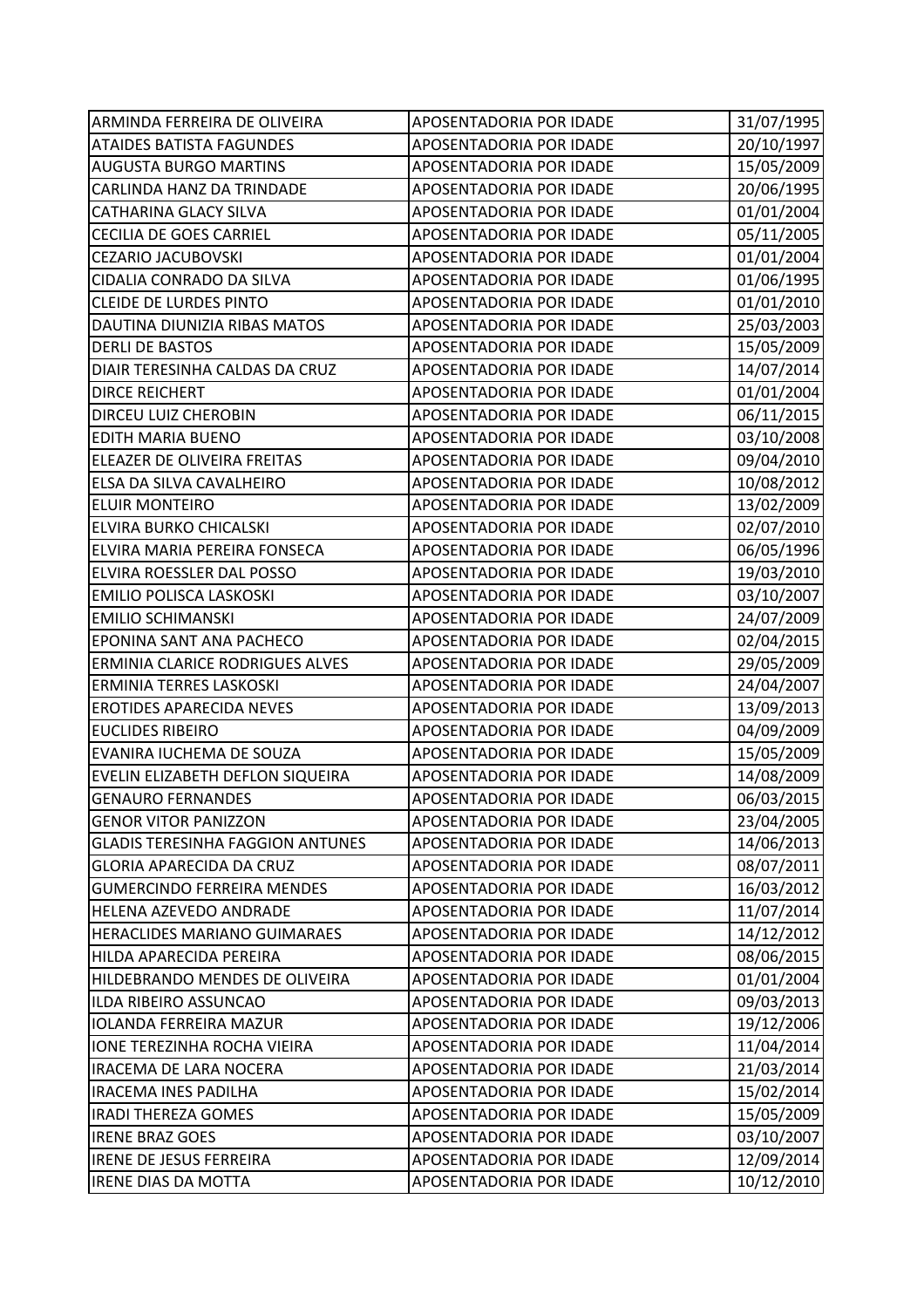| ARMINDA FERREIRA DE OLIVEIRA            | APOSENTADORIA POR IDADE | 31/07/1995 |
|-----------------------------------------|-------------------------|------------|
| <b>ATAIDES BATISTA FAGUNDES</b>         | APOSENTADORIA POR IDADE | 20/10/1997 |
| <b>AUGUSTA BURGO MARTINS</b>            | APOSENTADORIA POR IDADE | 15/05/2009 |
| CARLINDA HANZ DA TRINDADE               | APOSENTADORIA POR IDADE | 20/06/1995 |
| <b>CATHARINA GLACY SILVA</b>            | APOSENTADORIA POR IDADE | 01/01/2004 |
| <b>CECILIA DE GOES CARRIEL</b>          | APOSENTADORIA POR IDADE | 05/11/2005 |
| <b>CEZARIO JACUBOVSKI</b>               | APOSENTADORIA POR IDADE | 01/01/2004 |
| CIDALIA CONRADO DA SILVA                | APOSENTADORIA POR IDADE | 01/06/1995 |
| <b>CLEIDE DE LURDES PINTO</b>           | APOSENTADORIA POR IDADE | 01/01/2010 |
| DAUTINA DIUNIZIA RIBAS MATOS            | APOSENTADORIA POR IDADE | 25/03/2003 |
| <b>DERLI DE BASTOS</b>                  | APOSENTADORIA POR IDADE | 15/05/2009 |
| DIAIR TERESINHA CALDAS DA CRUZ          | APOSENTADORIA POR IDADE | 14/07/2014 |
| <b>DIRCE REICHERT</b>                   | APOSENTADORIA POR IDADE | 01/01/2004 |
| DIRCEU LUIZ CHEROBIN                    | APOSENTADORIA POR IDADE | 06/11/2015 |
| <b>EDITH MARIA BUENO</b>                | APOSENTADORIA POR IDADE | 03/10/2008 |
| ELEAZER DE OLIVEIRA FREITAS             | APOSENTADORIA POR IDADE | 09/04/2010 |
| ELSA DA SILVA CAVALHEIRO                | APOSENTADORIA POR IDADE | 10/08/2012 |
| <b>ELUIR MONTEIRO</b>                   | APOSENTADORIA POR IDADE | 13/02/2009 |
| ELVIRA BURKO CHICALSKI                  | APOSENTADORIA POR IDADE | 02/07/2010 |
| ELVIRA MARIA PEREIRA FONSECA            | APOSENTADORIA POR IDADE | 06/05/1996 |
| ELVIRA ROESSLER DAL POSSO               | APOSENTADORIA POR IDADE | 19/03/2010 |
| EMILIO POLISCA LASKOSKI                 | APOSENTADORIA POR IDADE | 03/10/2007 |
| <b>EMILIO SCHIMANSKI</b>                | APOSENTADORIA POR IDADE | 24/07/2009 |
| EPONINA SANT ANA PACHECO                | APOSENTADORIA POR IDADE | 02/04/2015 |
| ERMINIA CLARICE RODRIGUES ALVES         | APOSENTADORIA POR IDADE | 29/05/2009 |
| ERMINIA TERRES LASKOSKI                 | APOSENTADORIA POR IDADE | 24/04/2007 |
| <b>EROTIDES APARECIDA NEVES</b>         | APOSENTADORIA POR IDADE | 13/09/2013 |
| <b>EUCLIDES RIBEIRO</b>                 | APOSENTADORIA POR IDADE | 04/09/2009 |
| EVANIRA IUCHEMA DE SOUZA                | APOSENTADORIA POR IDADE | 15/05/2009 |
| EVELIN ELIZABETH DEFLON SIQUEIRA        | APOSENTADORIA POR IDADE | 14/08/2009 |
| <b>GENAURO FERNANDES</b>                | APOSENTADORIA POR IDADE | 06/03/2015 |
| <b>GENOR VITOR PANIZZON</b>             | APOSENTADORIA POR IDADE | 23/04/2005 |
| <b>GLADIS TERESINHA FAGGION ANTUNES</b> | APOSENTADORIA POR IDADE | 14/06/2013 |
| <b>GLORIA APARECIDA DA CRUZ</b>         | APOSENTADORIA POR IDADE | 08/07/2011 |
| <b>GUMERCINDO FERREIRA MENDES</b>       | APOSENTADORIA POR IDADE | 16/03/2012 |
| HELENA AZEVEDO ANDRADE                  | APOSENTADORIA POR IDADE | 11/07/2014 |
| HERACLIDES MARIANO GUIMARAES            | APOSENTADORIA POR IDADE | 14/12/2012 |
| HILDA APARECIDA PEREIRA                 | APOSENTADORIA POR IDADE | 08/06/2015 |
| HILDEBRANDO MENDES DE OLIVEIRA          | APOSENTADORIA POR IDADE | 01/01/2004 |
| ILDA RIBEIRO ASSUNCAO                   | APOSENTADORIA POR IDADE | 09/03/2013 |
| <b>IOLANDA FERREIRA MAZUR</b>           | APOSENTADORIA POR IDADE | 19/12/2006 |
| IONE TEREZINHA ROCHA VIEIRA             | APOSENTADORIA POR IDADE | 11/04/2014 |
| <b>IRACEMA DE LARA NOCERA</b>           | APOSENTADORIA POR IDADE | 21/03/2014 |
| IRACEMA INES PADILHA                    | APOSENTADORIA POR IDADE | 15/02/2014 |
| <b>IRADI THEREZA GOMES</b>              | APOSENTADORIA POR IDADE | 15/05/2009 |
| <b>IRENE BRAZ GOES</b>                  | APOSENTADORIA POR IDADE | 03/10/2007 |
| <b>IRENE DE JESUS FERREIRA</b>          | APOSENTADORIA POR IDADE | 12/09/2014 |
| <b>IRENE DIAS DA MOTTA</b>              | APOSENTADORIA POR IDADE | 10/12/2010 |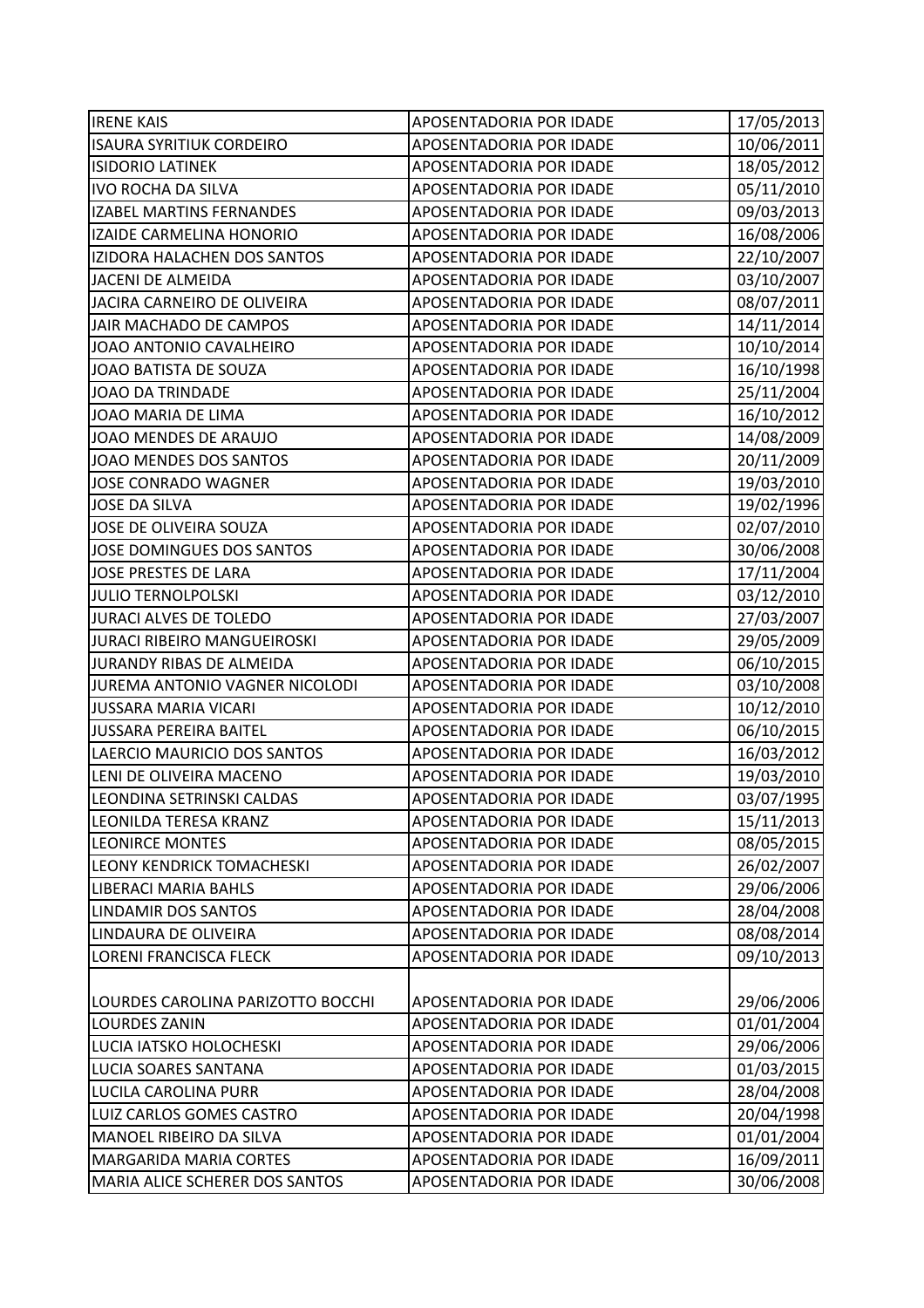| <b>IRENE KAIS</b>                  | APOSENTADORIA POR IDADE        | 17/05/2013 |
|------------------------------------|--------------------------------|------------|
| <b>ISAURA SYRITIUK CORDEIRO</b>    | APOSENTADORIA POR IDADE        | 10/06/2011 |
| <b>ISIDORIO LATINEK</b>            | APOSENTADORIA POR IDADE        | 18/05/2012 |
| <b>IVO ROCHA DA SILVA</b>          | APOSENTADORIA POR IDADE        | 05/11/2010 |
| <b>IZABEL MARTINS FERNANDES</b>    | APOSENTADORIA POR IDADE        | 09/03/2013 |
| IZAIDE CARMELINA HONORIO           | APOSENTADORIA POR IDADE        | 16/08/2006 |
| IZIDORA HALACHEN DOS SANTOS        | APOSENTADORIA POR IDADE        | 22/10/2007 |
| <b>JACENI DE ALMEIDA</b>           | APOSENTADORIA POR IDADE        | 03/10/2007 |
| JACIRA CARNEIRO DE OLIVEIRA        | APOSENTADORIA POR IDADE        | 08/07/2011 |
| JAIR MACHADO DE CAMPOS             | APOSENTADORIA POR IDADE        | 14/11/2014 |
| JOAO ANTONIO CAVALHEIRO            | APOSENTADORIA POR IDADE        | 10/10/2014 |
| JOAO BATISTA DE SOUZA              | APOSENTADORIA POR IDADE        | 16/10/1998 |
| JOAO DA TRINDADE                   | APOSENTADORIA POR IDADE        | 25/11/2004 |
| JOAO MARIA DE LIMA                 | APOSENTADORIA POR IDADE        | 16/10/2012 |
| JOAO MENDES DE ARAUJO              | APOSENTADORIA POR IDADE        | 14/08/2009 |
| JOAO MENDES DOS SANTOS             | APOSENTADORIA POR IDADE        | 20/11/2009 |
| <b>JOSE CONRADO WAGNER</b>         | APOSENTADORIA POR IDADE        | 19/03/2010 |
| <b>JOSE DA SILVA</b>               | APOSENTADORIA POR IDADE        | 19/02/1996 |
| JOSE DE OLIVEIRA SOUZA             | APOSENTADORIA POR IDADE        | 02/07/2010 |
| JOSE DOMINGUES DOS SANTOS          | APOSENTADORIA POR IDADE        | 30/06/2008 |
| JOSE PRESTES DE LARA               | APOSENTADORIA POR IDADE        | 17/11/2004 |
| <b>JULIO TERNOLPOLSKI</b>          | APOSENTADORIA POR IDADE        | 03/12/2010 |
| <b>JURACI ALVES DE TOLEDO</b>      | APOSENTADORIA POR IDADE        | 27/03/2007 |
| <b>JURACI RIBEIRO MANGUEIROSKI</b> | APOSENTADORIA POR IDADE        | 29/05/2009 |
| JURANDY RIBAS DE ALMEIDA           | APOSENTADORIA POR IDADE        | 06/10/2015 |
| JUREMA ANTONIO VAGNER NICOLODI     | APOSENTADORIA POR IDADE        | 03/10/2008 |
| <b>JUSSARA MARIA VICARI</b>        | APOSENTADORIA POR IDADE        | 10/12/2010 |
| <b>JUSSARA PEREIRA BAITEL</b>      | APOSENTADORIA POR IDADE        | 06/10/2015 |
| LAERCIO MAURICIO DOS SANTOS        | APOSENTADORIA POR IDADE        | 16/03/2012 |
| LENI DE OLIVEIRA MACENO            | APOSENTADORIA POR IDADE        | 19/03/2010 |
| LEONDINA SETRINSKI CALDAS          | <b>APOSENTADORIA POR IDADE</b> | 03/07/1995 |
| LEONILDA TERESA KRANZ              | APOSENTADORIA POR IDADE        | 15/11/2013 |
| <b>LEONIRCE MONTES</b>             | APOSENTADORIA POR IDADE        | 08/05/2015 |
| LEONY KENDRICK TOMACHESKI          | APOSENTADORIA POR IDADE        | 26/02/2007 |
| <b>LIBERACI MARIA BAHLS</b>        | APOSENTADORIA POR IDADE        | 29/06/2006 |
| <b>LINDAMIR DOS SANTOS</b>         | APOSENTADORIA POR IDADE        | 28/04/2008 |
| LINDAURA DE OLIVEIRA               | APOSENTADORIA POR IDADE        | 08/08/2014 |
| LORENI FRANCISCA FLECK             | APOSENTADORIA POR IDADE        | 09/10/2013 |
|                                    |                                |            |
| LOURDES CAROLINA PARIZOTTO BOCCHI  | <b>APOSENTADORIA POR IDADE</b> | 29/06/2006 |
| <b>LOURDES ZANIN</b>               | APOSENTADORIA POR IDADE        | 01/01/2004 |
| LUCIA IATSKO HOLOCHESKI            | APOSENTADORIA POR IDADE        | 29/06/2006 |
| LUCIA SOARES SANTANA               | APOSENTADORIA POR IDADE        | 01/03/2015 |
| LUCILA CAROLINA PURR               | APOSENTADORIA POR IDADE        | 28/04/2008 |
| LUIZ CARLOS GOMES CASTRO           | APOSENTADORIA POR IDADE        | 20/04/1998 |
| MANOEL RIBEIRO DA SILVA            | APOSENTADORIA POR IDADE        | 01/01/2004 |
| <b>MARGARIDA MARIA CORTES</b>      | APOSENTADORIA POR IDADE        | 16/09/2011 |
| MARIA ALICE SCHERER DOS SANTOS     | APOSENTADORIA POR IDADE        | 30/06/2008 |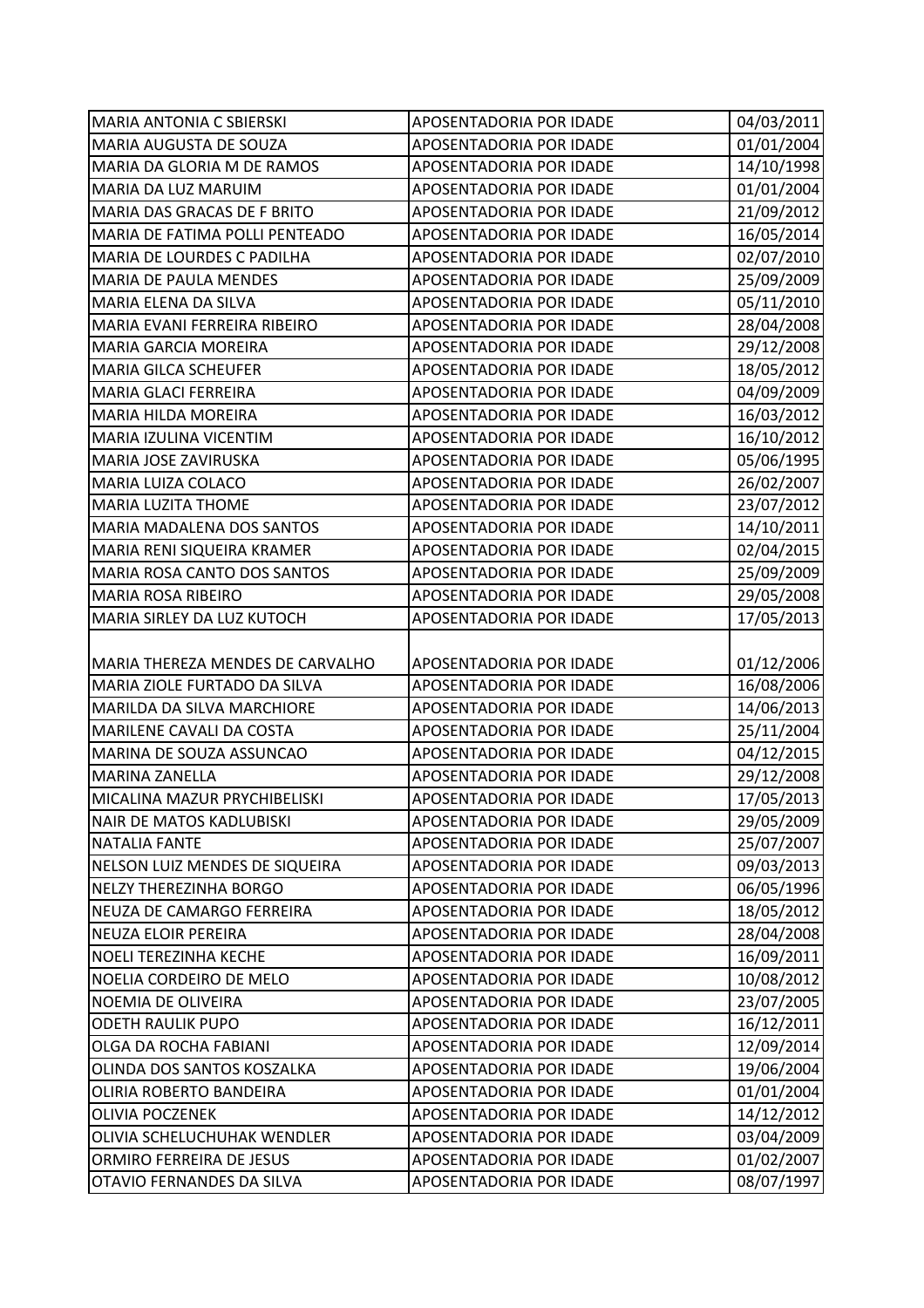| <b>MARIA ANTONIA C SBIERSKI</b>  | APOSENTADORIA POR IDADE | 04/03/2011 |
|----------------------------------|-------------------------|------------|
| MARIA AUGUSTA DE SOUZA           | APOSENTADORIA POR IDADE | 01/01/2004 |
| MARIA DA GLORIA M DE RAMOS       | APOSENTADORIA POR IDADE | 14/10/1998 |
| MARIA DA LUZ MARUIM              | APOSENTADORIA POR IDADE | 01/01/2004 |
| MARIA DAS GRACAS DE F BRITO      | APOSENTADORIA POR IDADE | 21/09/2012 |
| MARIA DE FATIMA POLLI PENTEADO   | APOSENTADORIA POR IDADE | 16/05/2014 |
| MARIA DE LOURDES C PADILHA       | APOSENTADORIA POR IDADE | 02/07/2010 |
| <b>MARIA DE PAULA MENDES</b>     | APOSENTADORIA POR IDADE | 25/09/2009 |
| MARIA ELENA DA SILVA             | APOSENTADORIA POR IDADE | 05/11/2010 |
| MARIA EVANI FERREIRA RIBEIRO     | APOSENTADORIA POR IDADE | 28/04/2008 |
| MARIA GARCIA MOREIRA             | APOSENTADORIA POR IDADE | 29/12/2008 |
| <b>MARIA GILCA SCHEUFER</b>      | APOSENTADORIA POR IDADE | 18/05/2012 |
| MARIA GLACI FERREIRA             | APOSENTADORIA POR IDADE | 04/09/2009 |
| MARIA HILDA MOREIRA              | APOSENTADORIA POR IDADE | 16/03/2012 |
| MARIA IZULINA VICENTIM           | APOSENTADORIA POR IDADE | 16/10/2012 |
| MARIA JOSE ZAVIRUSKA             | APOSENTADORIA POR IDADE | 05/06/1995 |
| MARIA LUIZA COLACO               | APOSENTADORIA POR IDADE | 26/02/2007 |
| <b>MARIA LUZITA THOME</b>        | APOSENTADORIA POR IDADE | 23/07/2012 |
| MARIA MADALENA DOS SANTOS        | APOSENTADORIA POR IDADE | 14/10/2011 |
| MARIA RENI SIQUEIRA KRAMER       | APOSENTADORIA POR IDADE | 02/04/2015 |
| MARIA ROSA CANTO DOS SANTOS      | APOSENTADORIA POR IDADE | 25/09/2009 |
| <b>MARIA ROSA RIBEIRO</b>        | APOSENTADORIA POR IDADE | 29/05/2008 |
| MARIA SIRLEY DA LUZ KUTOCH       | APOSENTADORIA POR IDADE | 17/05/2013 |
|                                  |                         |            |
| MARIA THEREZA MENDES DE CARVALHO | APOSENTADORIA POR IDADE | 01/12/2006 |
| MARIA ZIOLE FURTADO DA SILVA     | APOSENTADORIA POR IDADE | 16/08/2006 |
| MARILDA DA SILVA MARCHIORE       | APOSENTADORIA POR IDADE | 14/06/2013 |
| MARILENE CAVALI DA COSTA         | APOSENTADORIA POR IDADE | 25/11/2004 |
| MARINA DE SOUZA ASSUNCAO         | APOSENTADORIA POR IDADE | 04/12/2015 |
| <b>MARINA ZANELLA</b>            | APOSENTADORIA POR IDADE | 29/12/2008 |
| MICALINA MAZUR PRYCHIBELISKI     | APOSENTADORIA POR IDADE | 17/05/2013 |
| <b>NAIR DE MATOS KADLUBISKI</b>  | APOSENTADORIA POR IDADE | 29/05/2009 |
| <b>NATALIA FANTE</b>             | APOSENTADORIA POR IDADE | 25/07/2007 |
| NELSON LUIZ MENDES DE SIQUEIRA   | APOSENTADORIA POR IDADE | 09/03/2013 |
| <b>NELZY THEREZINHA BORGO</b>    | APOSENTADORIA POR IDADE | 06/05/1996 |
| NEUZA DE CAMARGO FERREIRA        | APOSENTADORIA POR IDADE | 18/05/2012 |
| NEUZA ELOIR PEREIRA              | APOSENTADORIA POR IDADE | 28/04/2008 |
| <b>NOELI TEREZINHA KECHE</b>     | APOSENTADORIA POR IDADE | 16/09/2011 |
| NOELIA CORDEIRO DE MELO          | APOSENTADORIA POR IDADE | 10/08/2012 |
| NOEMIA DE OLIVEIRA               | APOSENTADORIA POR IDADE | 23/07/2005 |
| <b>ODETH RAULIK PUPO</b>         | APOSENTADORIA POR IDADE | 16/12/2011 |
| OLGA DA ROCHA FABIANI            | APOSENTADORIA POR IDADE | 12/09/2014 |
| OLINDA DOS SANTOS KOSZALKA       | APOSENTADORIA POR IDADE | 19/06/2004 |
| OLIRIA ROBERTO BANDEIRA          | APOSENTADORIA POR IDADE | 01/01/2004 |
| <b>OLIVIA POCZENEK</b>           | APOSENTADORIA POR IDADE | 14/12/2012 |
| OLIVIA SCHELUCHUHAK WENDLER      | APOSENTADORIA POR IDADE | 03/04/2009 |
| ORMIRO FERREIRA DE JESUS         | APOSENTADORIA POR IDADE | 01/02/2007 |
| OTAVIO FERNANDES DA SILVA        | APOSENTADORIA POR IDADE | 08/07/1997 |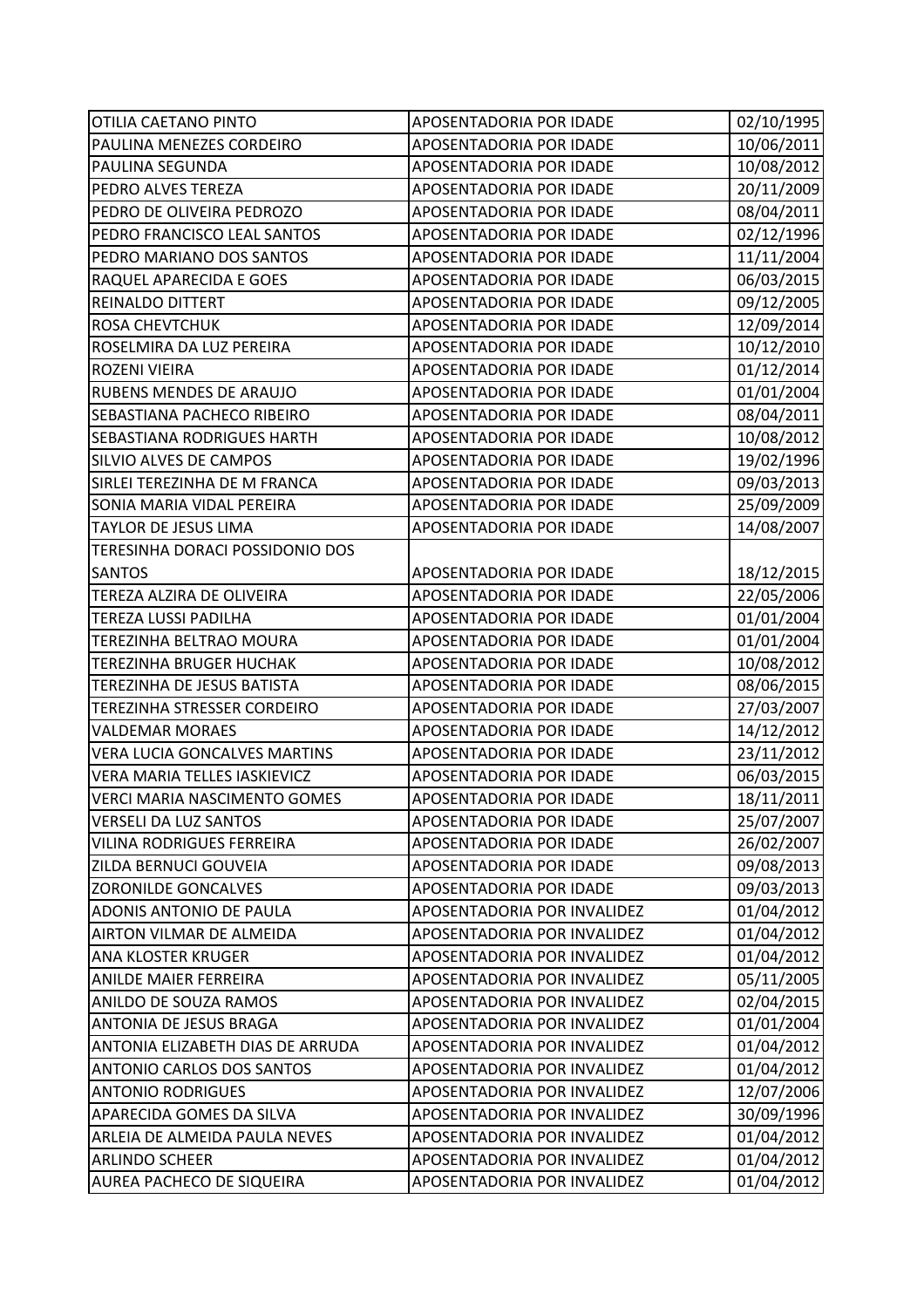| OTILIA CAETANO PINTO                | APOSENTADORIA POR IDADE     | 02/10/1995 |
|-------------------------------------|-----------------------------|------------|
| PAULINA MENEZES CORDEIRO            | APOSENTADORIA POR IDADE     | 10/06/2011 |
| PAULINA SEGUNDA                     | APOSENTADORIA POR IDADE     | 10/08/2012 |
| PEDRO ALVES TEREZA                  | APOSENTADORIA POR IDADE     | 20/11/2009 |
| PEDRO DE OLIVEIRA PEDROZO           | APOSENTADORIA POR IDADE     | 08/04/2011 |
| PEDRO FRANCISCO LEAL SANTOS         | APOSENTADORIA POR IDADE     | 02/12/1996 |
| PEDRO MARIANO DOS SANTOS            | APOSENTADORIA POR IDADE     | 11/11/2004 |
| RAQUEL APARECIDA E GOES             | APOSENTADORIA POR IDADE     | 06/03/2015 |
| REINALDO DITTERT                    | APOSENTADORIA POR IDADE     | 09/12/2005 |
| <b>ROSA CHEVTCHUK</b>               | APOSENTADORIA POR IDADE     | 12/09/2014 |
| ROSELMIRA DA LUZ PEREIRA            | APOSENTADORIA POR IDADE     | 10/12/2010 |
| ROZENI VIEIRA                       | APOSENTADORIA POR IDADE     | 01/12/2014 |
| RUBENS MENDES DE ARAUJO             | APOSENTADORIA POR IDADE     | 01/01/2004 |
| SEBASTIANA PACHECO RIBEIRO          | APOSENTADORIA POR IDADE     | 08/04/2011 |
| SEBASTIANA RODRIGUES HARTH          | APOSENTADORIA POR IDADE     | 10/08/2012 |
| SILVIO ALVES DE CAMPOS              | APOSENTADORIA POR IDADE     | 19/02/1996 |
| SIRLEI TEREZINHA DE M FRANCA        | APOSENTADORIA POR IDADE     | 09/03/2013 |
| SONIA MARIA VIDAL PEREIRA           | APOSENTADORIA POR IDADE     | 25/09/2009 |
| TAYLOR DE JESUS LIMA                | APOSENTADORIA POR IDADE     | 14/08/2007 |
| TERESINHA DORACI POSSIDONIO DOS     |                             |            |
| <b>SANTOS</b>                       | APOSENTADORIA POR IDADE     | 18/12/2015 |
| TEREZA ALZIRA DE OLIVEIRA           | APOSENTADORIA POR IDADE     | 22/05/2006 |
| <b>TEREZA LUSSI PADILHA</b>         | APOSENTADORIA POR IDADE     | 01/01/2004 |
| <b>TEREZINHA BELTRAO MOURA</b>      | APOSENTADORIA POR IDADE     | 01/01/2004 |
| <b>TEREZINHA BRUGER HUCHAK</b>      | APOSENTADORIA POR IDADE     | 10/08/2012 |
| TEREZINHA DE JESUS BATISTA          | APOSENTADORIA POR IDADE     | 08/06/2015 |
| TEREZINHA STRESSER CORDEIRO         | APOSENTADORIA POR IDADE     | 27/03/2007 |
| <b>VALDEMAR MORAES</b>              | APOSENTADORIA POR IDADE     | 14/12/2012 |
| <b>VERA LUCIA GONCALVES MARTINS</b> | APOSENTADORIA POR IDADE     | 23/11/2012 |
| VERA MARIA TELLES IASKIEVICZ        | APOSENTADORIA POR IDADE     | 06/03/2015 |
| <b>VERCI MARIA NASCIMENTO GOMES</b> | APOSENTADORIA POR IDADE     | 18/11/2011 |
| <b>VERSELI DA LUZ SANTOS</b>        | APOSENTADORIA POR IDADE     | 25/07/2007 |
| <b>VILINA RODRIGUES FERREIRA</b>    | APOSENTADORIA POR IDADE     | 26/02/2007 |
| ZILDA BERNUCI GOUVEIA               | APOSENTADORIA POR IDADE     | 09/08/2013 |
| <b>ZORONILDE GONCALVES</b>          | APOSENTADORIA POR IDADE     | 09/03/2013 |
| ADONIS ANTONIO DE PAULA             | APOSENTADORIA POR INVALIDEZ | 01/04/2012 |
| AIRTON VILMAR DE ALMEIDA            | APOSENTADORIA POR INVALIDEZ | 01/04/2012 |
| ANA KLOSTER KRUGER                  | APOSENTADORIA POR INVALIDEZ | 01/04/2012 |
| ANILDE MAIER FERREIRA               | APOSENTADORIA POR INVALIDEZ | 05/11/2005 |
| ANILDO DE SOUZA RAMOS               | APOSENTADORIA POR INVALIDEZ | 02/04/2015 |
| ANTONIA DE JESUS BRAGA              | APOSENTADORIA POR INVALIDEZ | 01/01/2004 |
| ANTONIA ELIZABETH DIAS DE ARRUDA    | APOSENTADORIA POR INVALIDEZ | 01/04/2012 |
| <b>ANTONIO CARLOS DOS SANTOS</b>    | APOSENTADORIA POR INVALIDEZ | 01/04/2012 |
| <b>ANTONIO RODRIGUES</b>            | APOSENTADORIA POR INVALIDEZ | 12/07/2006 |
| APARECIDA GOMES DA SILVA            | APOSENTADORIA POR INVALIDEZ | 30/09/1996 |
| ARLEIA DE ALMEIDA PAULA NEVES       | APOSENTADORIA POR INVALIDEZ | 01/04/2012 |
| <b>ARLINDO SCHEER</b>               | APOSENTADORIA POR INVALIDEZ | 01/04/2012 |
| AUREA PACHECO DE SIQUEIRA           | APOSENTADORIA POR INVALIDEZ | 01/04/2012 |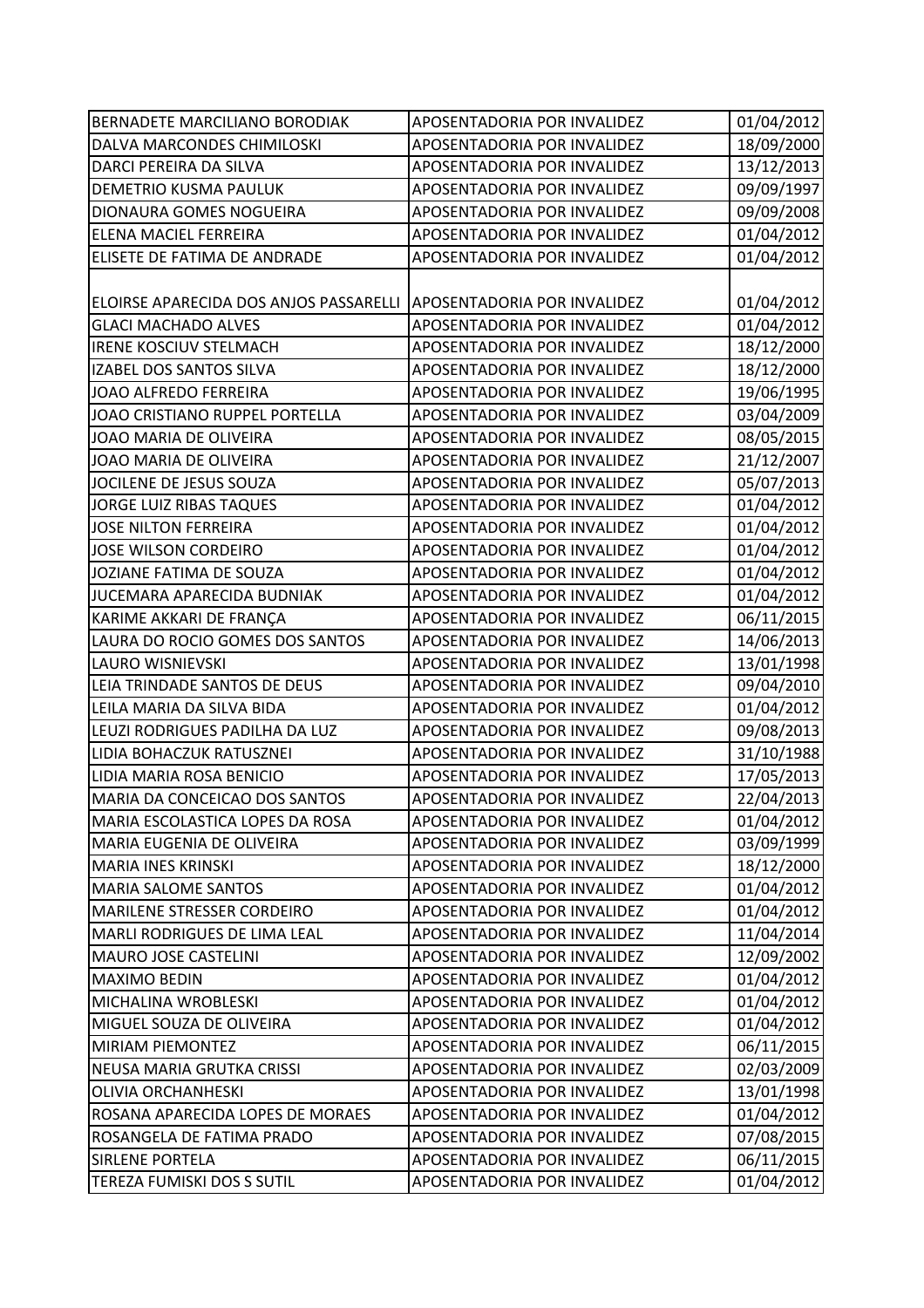| 18/09/2000<br>DALVA MARCONDES CHIMILOSKI<br>APOSENTADORIA POR INVALIDEZ<br>13/12/2013<br>DARCI PEREIRA DA SILVA<br>APOSENTADORIA POR INVALIDEZ<br>09/09/1997<br>APOSENTADORIA POR INVALIDEZ<br>DEMETRIO KUSMA PAULUK<br>09/09/2008<br>DIONAURA GOMES NOGUEIRA<br>APOSENTADORIA POR INVALIDEZ<br>01/04/2012<br>ELENA MACIEL FERREIRA<br>APOSENTADORIA POR INVALIDEZ<br>01/04/2012<br>ELISETE DE FATIMA DE ANDRADE<br>APOSENTADORIA POR INVALIDEZ<br>01/04/2012<br>ELOIRSE APARECIDA DOS ANJOS PASSARELLI APOSENTADORIA POR INVALIDEZ<br>01/04/2012<br><b>GLACI MACHADO ALVES</b><br>APOSENTADORIA POR INVALIDEZ<br>18/12/2000<br><b>IRENE KOSCIUV STELMACH</b><br>APOSENTADORIA POR INVALIDEZ<br>18/12/2000<br>IZABEL DOS SANTOS SILVA<br>APOSENTADORIA POR INVALIDEZ<br>19/06/1995<br>JOAO ALFREDO FERREIRA<br>APOSENTADORIA POR INVALIDEZ<br>03/04/2009<br>JOAO CRISTIANO RUPPEL PORTELLA<br>APOSENTADORIA POR INVALIDEZ<br>08/05/2015<br>JOAO MARIA DE OLIVEIRA<br>APOSENTADORIA POR INVALIDEZ<br>21/12/2007<br>JOAO MARIA DE OLIVEIRA<br>APOSENTADORIA POR INVALIDEZ<br>05/07/2013<br>JOCILENE DE JESUS SOUZA<br>APOSENTADORIA POR INVALIDEZ<br><b>JORGE LUIZ RIBAS TAQUES</b><br>01/04/2012<br>APOSENTADORIA POR INVALIDEZ<br>01/04/2012<br><b>JOSE NILTON FERREIRA</b><br>APOSENTADORIA POR INVALIDEZ<br>JOSE WILSON CORDEIRO<br>APOSENTADORIA POR INVALIDEZ<br>01/04/2012<br>JOZIANE FATIMA DE SOUZA<br>APOSENTADORIA POR INVALIDEZ<br>JUCEMARA APARECIDA BUDNIAK<br>01/04/2012<br>APOSENTADORIA POR INVALIDEZ<br>06/11/2015<br>KARIME AKKARI DE FRANÇA<br>APOSENTADORIA POR INVALIDEZ<br>14/06/2013<br>LAURA DO ROCIO GOMES DOS SANTOS<br>APOSENTADORIA POR INVALIDEZ<br>13/01/1998<br><b>LAURO WISNIEVSKI</b><br>APOSENTADORIA POR INVALIDEZ<br>09/04/2010<br>LEIA TRINDADE SANTOS DE DEUS<br>APOSENTADORIA POR INVALIDEZ<br>01/04/2012<br>LEILA MARIA DA SILVA BIDA<br>APOSENTADORIA POR INVALIDEZ<br>09/08/2013<br>LEUZI RODRIGUES PADILHA DA LUZ<br>APOSENTADORIA POR INVALIDEZ<br>31/10/1988<br>LIDIA BOHACZUK RATUSZNEI<br>APOSENTADORIA POR INVALIDEZ<br>17/05/2013<br>LIDIA MARIA ROSA BENICIO<br>APOSENTADORIA POR INVALIDEZ<br>22/04/2013<br>MARIA DA CONCEICAO DOS SANTOS<br>APOSENTADORIA POR INVALIDEZ<br>MARIA ESCOLASTICA LOPES DA ROSA<br>APOSENTADORIA POR INVALIDEZ<br>03/09/1999<br><b>MARIA EUGENIA DE OLIVEIRA</b><br>APOSENTADORIA POR INVALIDEZ<br>18/12/2000<br><b>MARIA INES KRINSKI</b><br>APOSENTADORIA POR INVALIDEZ<br>01/04/2012<br><b>MARIA SALOME SANTOS</b><br>APOSENTADORIA POR INVALIDEZ<br>01/04/2012<br>MARILENE STRESSER CORDEIRO<br>APOSENTADORIA POR INVALIDEZ<br>11/04/2014<br><b>MARLI RODRIGUES DE LIMA LEAL</b><br>APOSENTADORIA POR INVALIDEZ<br>12/09/2002<br><b>MAURO JOSE CASTELINI</b><br>APOSENTADORIA POR INVALIDEZ<br>01/04/2012<br><b>MAXIMO BEDIN</b><br>APOSENTADORIA POR INVALIDEZ<br>01/04/2012<br>MICHALINA WROBLESKI<br>APOSENTADORIA POR INVALIDEZ<br>01/04/2012<br>MIGUEL SOUZA DE OLIVEIRA<br>APOSENTADORIA POR INVALIDEZ<br><b>MIRIAM PIEMONTEZ</b><br>APOSENTADORIA POR INVALIDEZ<br>06/11/2015<br>02/03/2009<br>NEUSA MARIA GRUTKA CRISSI<br>APOSENTADORIA POR INVALIDEZ<br><b>OLIVIA ORCHANHESKI</b><br>APOSENTADORIA POR INVALIDEZ<br>13/01/1998<br>01/04/2012<br>ROSANA APARECIDA LOPES DE MORAES<br>APOSENTADORIA POR INVALIDEZ<br>07/08/2015<br>ROSANGELA DE FATIMA PRADO<br>APOSENTADORIA POR INVALIDEZ<br>06/11/2015<br><b>SIRLENE PORTELA</b><br>APOSENTADORIA POR INVALIDEZ | BERNADETE MARCILIANO BORODIAK | APOSENTADORIA POR INVALIDEZ | 01/04/2012 |
|--------------------------------------------------------------------------------------------------------------------------------------------------------------------------------------------------------------------------------------------------------------------------------------------------------------------------------------------------------------------------------------------------------------------------------------------------------------------------------------------------------------------------------------------------------------------------------------------------------------------------------------------------------------------------------------------------------------------------------------------------------------------------------------------------------------------------------------------------------------------------------------------------------------------------------------------------------------------------------------------------------------------------------------------------------------------------------------------------------------------------------------------------------------------------------------------------------------------------------------------------------------------------------------------------------------------------------------------------------------------------------------------------------------------------------------------------------------------------------------------------------------------------------------------------------------------------------------------------------------------------------------------------------------------------------------------------------------------------------------------------------------------------------------------------------------------------------------------------------------------------------------------------------------------------------------------------------------------------------------------------------------------------------------------------------------------------------------------------------------------------------------------------------------------------------------------------------------------------------------------------------------------------------------------------------------------------------------------------------------------------------------------------------------------------------------------------------------------------------------------------------------------------------------------------------------------------------------------------------------------------------------------------------------------------------------------------------------------------------------------------------------------------------------------------------------------------------------------------------------------------------------------------------------------------------------------------------------------------------------------------------------------------------------------------------------------------------------------------------------------------------------------------------------------------------------------------------------------------------------------------------------------------------------------------------------------------------------------------------------------------------------------------------------------------------------------------------------|-------------------------------|-----------------------------|------------|
|                                                                                                                                                                                                                                                                                                                                                                                                                                                                                                                                                                                                                                                                                                                                                                                                                                                                                                                                                                                                                                                                                                                                                                                                                                                                                                                                                                                                                                                                                                                                                                                                                                                                                                                                                                                                                                                                                                                                                                                                                                                                                                                                                                                                                                                                                                                                                                                                                                                                                                                                                                                                                                                                                                                                                                                                                                                                                                                                                                                                                                                                                                                                                                                                                                                                                                                                                                                                                                                              |                               |                             |            |
| 01/04/2012<br>01/04/2012                                                                                                                                                                                                                                                                                                                                                                                                                                                                                                                                                                                                                                                                                                                                                                                                                                                                                                                                                                                                                                                                                                                                                                                                                                                                                                                                                                                                                                                                                                                                                                                                                                                                                                                                                                                                                                                                                                                                                                                                                                                                                                                                                                                                                                                                                                                                                                                                                                                                                                                                                                                                                                                                                                                                                                                                                                                                                                                                                                                                                                                                                                                                                                                                                                                                                                                                                                                                                                     |                               |                             |            |
|                                                                                                                                                                                                                                                                                                                                                                                                                                                                                                                                                                                                                                                                                                                                                                                                                                                                                                                                                                                                                                                                                                                                                                                                                                                                                                                                                                                                                                                                                                                                                                                                                                                                                                                                                                                                                                                                                                                                                                                                                                                                                                                                                                                                                                                                                                                                                                                                                                                                                                                                                                                                                                                                                                                                                                                                                                                                                                                                                                                                                                                                                                                                                                                                                                                                                                                                                                                                                                                              |                               |                             |            |
|                                                                                                                                                                                                                                                                                                                                                                                                                                                                                                                                                                                                                                                                                                                                                                                                                                                                                                                                                                                                                                                                                                                                                                                                                                                                                                                                                                                                                                                                                                                                                                                                                                                                                                                                                                                                                                                                                                                                                                                                                                                                                                                                                                                                                                                                                                                                                                                                                                                                                                                                                                                                                                                                                                                                                                                                                                                                                                                                                                                                                                                                                                                                                                                                                                                                                                                                                                                                                                                              |                               |                             |            |
|                                                                                                                                                                                                                                                                                                                                                                                                                                                                                                                                                                                                                                                                                                                                                                                                                                                                                                                                                                                                                                                                                                                                                                                                                                                                                                                                                                                                                                                                                                                                                                                                                                                                                                                                                                                                                                                                                                                                                                                                                                                                                                                                                                                                                                                                                                                                                                                                                                                                                                                                                                                                                                                                                                                                                                                                                                                                                                                                                                                                                                                                                                                                                                                                                                                                                                                                                                                                                                                              |                               |                             |            |
|                                                                                                                                                                                                                                                                                                                                                                                                                                                                                                                                                                                                                                                                                                                                                                                                                                                                                                                                                                                                                                                                                                                                                                                                                                                                                                                                                                                                                                                                                                                                                                                                                                                                                                                                                                                                                                                                                                                                                                                                                                                                                                                                                                                                                                                                                                                                                                                                                                                                                                                                                                                                                                                                                                                                                                                                                                                                                                                                                                                                                                                                                                                                                                                                                                                                                                                                                                                                                                                              |                               |                             |            |
|                                                                                                                                                                                                                                                                                                                                                                                                                                                                                                                                                                                                                                                                                                                                                                                                                                                                                                                                                                                                                                                                                                                                                                                                                                                                                                                                                                                                                                                                                                                                                                                                                                                                                                                                                                                                                                                                                                                                                                                                                                                                                                                                                                                                                                                                                                                                                                                                                                                                                                                                                                                                                                                                                                                                                                                                                                                                                                                                                                                                                                                                                                                                                                                                                                                                                                                                                                                                                                                              |                               |                             |            |
|                                                                                                                                                                                                                                                                                                                                                                                                                                                                                                                                                                                                                                                                                                                                                                                                                                                                                                                                                                                                                                                                                                                                                                                                                                                                                                                                                                                                                                                                                                                                                                                                                                                                                                                                                                                                                                                                                                                                                                                                                                                                                                                                                                                                                                                                                                                                                                                                                                                                                                                                                                                                                                                                                                                                                                                                                                                                                                                                                                                                                                                                                                                                                                                                                                                                                                                                                                                                                                                              |                               |                             |            |
|                                                                                                                                                                                                                                                                                                                                                                                                                                                                                                                                                                                                                                                                                                                                                                                                                                                                                                                                                                                                                                                                                                                                                                                                                                                                                                                                                                                                                                                                                                                                                                                                                                                                                                                                                                                                                                                                                                                                                                                                                                                                                                                                                                                                                                                                                                                                                                                                                                                                                                                                                                                                                                                                                                                                                                                                                                                                                                                                                                                                                                                                                                                                                                                                                                                                                                                                                                                                                                                              |                               |                             |            |
|                                                                                                                                                                                                                                                                                                                                                                                                                                                                                                                                                                                                                                                                                                                                                                                                                                                                                                                                                                                                                                                                                                                                                                                                                                                                                                                                                                                                                                                                                                                                                                                                                                                                                                                                                                                                                                                                                                                                                                                                                                                                                                                                                                                                                                                                                                                                                                                                                                                                                                                                                                                                                                                                                                                                                                                                                                                                                                                                                                                                                                                                                                                                                                                                                                                                                                                                                                                                                                                              |                               |                             |            |
|                                                                                                                                                                                                                                                                                                                                                                                                                                                                                                                                                                                                                                                                                                                                                                                                                                                                                                                                                                                                                                                                                                                                                                                                                                                                                                                                                                                                                                                                                                                                                                                                                                                                                                                                                                                                                                                                                                                                                                                                                                                                                                                                                                                                                                                                                                                                                                                                                                                                                                                                                                                                                                                                                                                                                                                                                                                                                                                                                                                                                                                                                                                                                                                                                                                                                                                                                                                                                                                              |                               |                             |            |
|                                                                                                                                                                                                                                                                                                                                                                                                                                                                                                                                                                                                                                                                                                                                                                                                                                                                                                                                                                                                                                                                                                                                                                                                                                                                                                                                                                                                                                                                                                                                                                                                                                                                                                                                                                                                                                                                                                                                                                                                                                                                                                                                                                                                                                                                                                                                                                                                                                                                                                                                                                                                                                                                                                                                                                                                                                                                                                                                                                                                                                                                                                                                                                                                                                                                                                                                                                                                                                                              |                               |                             |            |
|                                                                                                                                                                                                                                                                                                                                                                                                                                                                                                                                                                                                                                                                                                                                                                                                                                                                                                                                                                                                                                                                                                                                                                                                                                                                                                                                                                                                                                                                                                                                                                                                                                                                                                                                                                                                                                                                                                                                                                                                                                                                                                                                                                                                                                                                                                                                                                                                                                                                                                                                                                                                                                                                                                                                                                                                                                                                                                                                                                                                                                                                                                                                                                                                                                                                                                                                                                                                                                                              |                               |                             |            |
|                                                                                                                                                                                                                                                                                                                                                                                                                                                                                                                                                                                                                                                                                                                                                                                                                                                                                                                                                                                                                                                                                                                                                                                                                                                                                                                                                                                                                                                                                                                                                                                                                                                                                                                                                                                                                                                                                                                                                                                                                                                                                                                                                                                                                                                                                                                                                                                                                                                                                                                                                                                                                                                                                                                                                                                                                                                                                                                                                                                                                                                                                                                                                                                                                                                                                                                                                                                                                                                              |                               |                             |            |
|                                                                                                                                                                                                                                                                                                                                                                                                                                                                                                                                                                                                                                                                                                                                                                                                                                                                                                                                                                                                                                                                                                                                                                                                                                                                                                                                                                                                                                                                                                                                                                                                                                                                                                                                                                                                                                                                                                                                                                                                                                                                                                                                                                                                                                                                                                                                                                                                                                                                                                                                                                                                                                                                                                                                                                                                                                                                                                                                                                                                                                                                                                                                                                                                                                                                                                                                                                                                                                                              |                               |                             |            |
|                                                                                                                                                                                                                                                                                                                                                                                                                                                                                                                                                                                                                                                                                                                                                                                                                                                                                                                                                                                                                                                                                                                                                                                                                                                                                                                                                                                                                                                                                                                                                                                                                                                                                                                                                                                                                                                                                                                                                                                                                                                                                                                                                                                                                                                                                                                                                                                                                                                                                                                                                                                                                                                                                                                                                                                                                                                                                                                                                                                                                                                                                                                                                                                                                                                                                                                                                                                                                                                              |                               |                             |            |
|                                                                                                                                                                                                                                                                                                                                                                                                                                                                                                                                                                                                                                                                                                                                                                                                                                                                                                                                                                                                                                                                                                                                                                                                                                                                                                                                                                                                                                                                                                                                                                                                                                                                                                                                                                                                                                                                                                                                                                                                                                                                                                                                                                                                                                                                                                                                                                                                                                                                                                                                                                                                                                                                                                                                                                                                                                                                                                                                                                                                                                                                                                                                                                                                                                                                                                                                                                                                                                                              |                               |                             |            |
|                                                                                                                                                                                                                                                                                                                                                                                                                                                                                                                                                                                                                                                                                                                                                                                                                                                                                                                                                                                                                                                                                                                                                                                                                                                                                                                                                                                                                                                                                                                                                                                                                                                                                                                                                                                                                                                                                                                                                                                                                                                                                                                                                                                                                                                                                                                                                                                                                                                                                                                                                                                                                                                                                                                                                                                                                                                                                                                                                                                                                                                                                                                                                                                                                                                                                                                                                                                                                                                              |                               |                             |            |
|                                                                                                                                                                                                                                                                                                                                                                                                                                                                                                                                                                                                                                                                                                                                                                                                                                                                                                                                                                                                                                                                                                                                                                                                                                                                                                                                                                                                                                                                                                                                                                                                                                                                                                                                                                                                                                                                                                                                                                                                                                                                                                                                                                                                                                                                                                                                                                                                                                                                                                                                                                                                                                                                                                                                                                                                                                                                                                                                                                                                                                                                                                                                                                                                                                                                                                                                                                                                                                                              |                               |                             |            |
|                                                                                                                                                                                                                                                                                                                                                                                                                                                                                                                                                                                                                                                                                                                                                                                                                                                                                                                                                                                                                                                                                                                                                                                                                                                                                                                                                                                                                                                                                                                                                                                                                                                                                                                                                                                                                                                                                                                                                                                                                                                                                                                                                                                                                                                                                                                                                                                                                                                                                                                                                                                                                                                                                                                                                                                                                                                                                                                                                                                                                                                                                                                                                                                                                                                                                                                                                                                                                                                              |                               |                             |            |
|                                                                                                                                                                                                                                                                                                                                                                                                                                                                                                                                                                                                                                                                                                                                                                                                                                                                                                                                                                                                                                                                                                                                                                                                                                                                                                                                                                                                                                                                                                                                                                                                                                                                                                                                                                                                                                                                                                                                                                                                                                                                                                                                                                                                                                                                                                                                                                                                                                                                                                                                                                                                                                                                                                                                                                                                                                                                                                                                                                                                                                                                                                                                                                                                                                                                                                                                                                                                                                                              |                               |                             |            |
|                                                                                                                                                                                                                                                                                                                                                                                                                                                                                                                                                                                                                                                                                                                                                                                                                                                                                                                                                                                                                                                                                                                                                                                                                                                                                                                                                                                                                                                                                                                                                                                                                                                                                                                                                                                                                                                                                                                                                                                                                                                                                                                                                                                                                                                                                                                                                                                                                                                                                                                                                                                                                                                                                                                                                                                                                                                                                                                                                                                                                                                                                                                                                                                                                                                                                                                                                                                                                                                              |                               |                             |            |
|                                                                                                                                                                                                                                                                                                                                                                                                                                                                                                                                                                                                                                                                                                                                                                                                                                                                                                                                                                                                                                                                                                                                                                                                                                                                                                                                                                                                                                                                                                                                                                                                                                                                                                                                                                                                                                                                                                                                                                                                                                                                                                                                                                                                                                                                                                                                                                                                                                                                                                                                                                                                                                                                                                                                                                                                                                                                                                                                                                                                                                                                                                                                                                                                                                                                                                                                                                                                                                                              |                               |                             |            |
|                                                                                                                                                                                                                                                                                                                                                                                                                                                                                                                                                                                                                                                                                                                                                                                                                                                                                                                                                                                                                                                                                                                                                                                                                                                                                                                                                                                                                                                                                                                                                                                                                                                                                                                                                                                                                                                                                                                                                                                                                                                                                                                                                                                                                                                                                                                                                                                                                                                                                                                                                                                                                                                                                                                                                                                                                                                                                                                                                                                                                                                                                                                                                                                                                                                                                                                                                                                                                                                              |                               |                             |            |
|                                                                                                                                                                                                                                                                                                                                                                                                                                                                                                                                                                                                                                                                                                                                                                                                                                                                                                                                                                                                                                                                                                                                                                                                                                                                                                                                                                                                                                                                                                                                                                                                                                                                                                                                                                                                                                                                                                                                                                                                                                                                                                                                                                                                                                                                                                                                                                                                                                                                                                                                                                                                                                                                                                                                                                                                                                                                                                                                                                                                                                                                                                                                                                                                                                                                                                                                                                                                                                                              |                               |                             |            |
|                                                                                                                                                                                                                                                                                                                                                                                                                                                                                                                                                                                                                                                                                                                                                                                                                                                                                                                                                                                                                                                                                                                                                                                                                                                                                                                                                                                                                                                                                                                                                                                                                                                                                                                                                                                                                                                                                                                                                                                                                                                                                                                                                                                                                                                                                                                                                                                                                                                                                                                                                                                                                                                                                                                                                                                                                                                                                                                                                                                                                                                                                                                                                                                                                                                                                                                                                                                                                                                              |                               |                             |            |
|                                                                                                                                                                                                                                                                                                                                                                                                                                                                                                                                                                                                                                                                                                                                                                                                                                                                                                                                                                                                                                                                                                                                                                                                                                                                                                                                                                                                                                                                                                                                                                                                                                                                                                                                                                                                                                                                                                                                                                                                                                                                                                                                                                                                                                                                                                                                                                                                                                                                                                                                                                                                                                                                                                                                                                                                                                                                                                                                                                                                                                                                                                                                                                                                                                                                                                                                                                                                                                                              |                               |                             |            |
|                                                                                                                                                                                                                                                                                                                                                                                                                                                                                                                                                                                                                                                                                                                                                                                                                                                                                                                                                                                                                                                                                                                                                                                                                                                                                                                                                                                                                                                                                                                                                                                                                                                                                                                                                                                                                                                                                                                                                                                                                                                                                                                                                                                                                                                                                                                                                                                                                                                                                                                                                                                                                                                                                                                                                                                                                                                                                                                                                                                                                                                                                                                                                                                                                                                                                                                                                                                                                                                              |                               |                             |            |
|                                                                                                                                                                                                                                                                                                                                                                                                                                                                                                                                                                                                                                                                                                                                                                                                                                                                                                                                                                                                                                                                                                                                                                                                                                                                                                                                                                                                                                                                                                                                                                                                                                                                                                                                                                                                                                                                                                                                                                                                                                                                                                                                                                                                                                                                                                                                                                                                                                                                                                                                                                                                                                                                                                                                                                                                                                                                                                                                                                                                                                                                                                                                                                                                                                                                                                                                                                                                                                                              |                               |                             |            |
|                                                                                                                                                                                                                                                                                                                                                                                                                                                                                                                                                                                                                                                                                                                                                                                                                                                                                                                                                                                                                                                                                                                                                                                                                                                                                                                                                                                                                                                                                                                                                                                                                                                                                                                                                                                                                                                                                                                                                                                                                                                                                                                                                                                                                                                                                                                                                                                                                                                                                                                                                                                                                                                                                                                                                                                                                                                                                                                                                                                                                                                                                                                                                                                                                                                                                                                                                                                                                                                              |                               |                             |            |
|                                                                                                                                                                                                                                                                                                                                                                                                                                                                                                                                                                                                                                                                                                                                                                                                                                                                                                                                                                                                                                                                                                                                                                                                                                                                                                                                                                                                                                                                                                                                                                                                                                                                                                                                                                                                                                                                                                                                                                                                                                                                                                                                                                                                                                                                                                                                                                                                                                                                                                                                                                                                                                                                                                                                                                                                                                                                                                                                                                                                                                                                                                                                                                                                                                                                                                                                                                                                                                                              |                               |                             |            |
|                                                                                                                                                                                                                                                                                                                                                                                                                                                                                                                                                                                                                                                                                                                                                                                                                                                                                                                                                                                                                                                                                                                                                                                                                                                                                                                                                                                                                                                                                                                                                                                                                                                                                                                                                                                                                                                                                                                                                                                                                                                                                                                                                                                                                                                                                                                                                                                                                                                                                                                                                                                                                                                                                                                                                                                                                                                                                                                                                                                                                                                                                                                                                                                                                                                                                                                                                                                                                                                              |                               |                             |            |
|                                                                                                                                                                                                                                                                                                                                                                                                                                                                                                                                                                                                                                                                                                                                                                                                                                                                                                                                                                                                                                                                                                                                                                                                                                                                                                                                                                                                                                                                                                                                                                                                                                                                                                                                                                                                                                                                                                                                                                                                                                                                                                                                                                                                                                                                                                                                                                                                                                                                                                                                                                                                                                                                                                                                                                                                                                                                                                                                                                                                                                                                                                                                                                                                                                                                                                                                                                                                                                                              |                               |                             |            |
|                                                                                                                                                                                                                                                                                                                                                                                                                                                                                                                                                                                                                                                                                                                                                                                                                                                                                                                                                                                                                                                                                                                                                                                                                                                                                                                                                                                                                                                                                                                                                                                                                                                                                                                                                                                                                                                                                                                                                                                                                                                                                                                                                                                                                                                                                                                                                                                                                                                                                                                                                                                                                                                                                                                                                                                                                                                                                                                                                                                                                                                                                                                                                                                                                                                                                                                                                                                                                                                              |                               |                             |            |
|                                                                                                                                                                                                                                                                                                                                                                                                                                                                                                                                                                                                                                                                                                                                                                                                                                                                                                                                                                                                                                                                                                                                                                                                                                                                                                                                                                                                                                                                                                                                                                                                                                                                                                                                                                                                                                                                                                                                                                                                                                                                                                                                                                                                                                                                                                                                                                                                                                                                                                                                                                                                                                                                                                                                                                                                                                                                                                                                                                                                                                                                                                                                                                                                                                                                                                                                                                                                                                                              |                               |                             |            |
|                                                                                                                                                                                                                                                                                                                                                                                                                                                                                                                                                                                                                                                                                                                                                                                                                                                                                                                                                                                                                                                                                                                                                                                                                                                                                                                                                                                                                                                                                                                                                                                                                                                                                                                                                                                                                                                                                                                                                                                                                                                                                                                                                                                                                                                                                                                                                                                                                                                                                                                                                                                                                                                                                                                                                                                                                                                                                                                                                                                                                                                                                                                                                                                                                                                                                                                                                                                                                                                              |                               |                             |            |
|                                                                                                                                                                                                                                                                                                                                                                                                                                                                                                                                                                                                                                                                                                                                                                                                                                                                                                                                                                                                                                                                                                                                                                                                                                                                                                                                                                                                                                                                                                                                                                                                                                                                                                                                                                                                                                                                                                                                                                                                                                                                                                                                                                                                                                                                                                                                                                                                                                                                                                                                                                                                                                                                                                                                                                                                                                                                                                                                                                                                                                                                                                                                                                                                                                                                                                                                                                                                                                                              |                               |                             |            |
|                                                                                                                                                                                                                                                                                                                                                                                                                                                                                                                                                                                                                                                                                                                                                                                                                                                                                                                                                                                                                                                                                                                                                                                                                                                                                                                                                                                                                                                                                                                                                                                                                                                                                                                                                                                                                                                                                                                                                                                                                                                                                                                                                                                                                                                                                                                                                                                                                                                                                                                                                                                                                                                                                                                                                                                                                                                                                                                                                                                                                                                                                                                                                                                                                                                                                                                                                                                                                                                              |                               |                             |            |
|                                                                                                                                                                                                                                                                                                                                                                                                                                                                                                                                                                                                                                                                                                                                                                                                                                                                                                                                                                                                                                                                                                                                                                                                                                                                                                                                                                                                                                                                                                                                                                                                                                                                                                                                                                                                                                                                                                                                                                                                                                                                                                                                                                                                                                                                                                                                                                                                                                                                                                                                                                                                                                                                                                                                                                                                                                                                                                                                                                                                                                                                                                                                                                                                                                                                                                                                                                                                                                                              |                               |                             |            |
|                                                                                                                                                                                                                                                                                                                                                                                                                                                                                                                                                                                                                                                                                                                                                                                                                                                                                                                                                                                                                                                                                                                                                                                                                                                                                                                                                                                                                                                                                                                                                                                                                                                                                                                                                                                                                                                                                                                                                                                                                                                                                                                                                                                                                                                                                                                                                                                                                                                                                                                                                                                                                                                                                                                                                                                                                                                                                                                                                                                                                                                                                                                                                                                                                                                                                                                                                                                                                                                              |                               |                             |            |
|                                                                                                                                                                                                                                                                                                                                                                                                                                                                                                                                                                                                                                                                                                                                                                                                                                                                                                                                                                                                                                                                                                                                                                                                                                                                                                                                                                                                                                                                                                                                                                                                                                                                                                                                                                                                                                                                                                                                                                                                                                                                                                                                                                                                                                                                                                                                                                                                                                                                                                                                                                                                                                                                                                                                                                                                                                                                                                                                                                                                                                                                                                                                                                                                                                                                                                                                                                                                                                                              |                               |                             |            |
|                                                                                                                                                                                                                                                                                                                                                                                                                                                                                                                                                                                                                                                                                                                                                                                                                                                                                                                                                                                                                                                                                                                                                                                                                                                                                                                                                                                                                                                                                                                                                                                                                                                                                                                                                                                                                                                                                                                                                                                                                                                                                                                                                                                                                                                                                                                                                                                                                                                                                                                                                                                                                                                                                                                                                                                                                                                                                                                                                                                                                                                                                                                                                                                                                                                                                                                                                                                                                                                              |                               |                             |            |
|                                                                                                                                                                                                                                                                                                                                                                                                                                                                                                                                                                                                                                                                                                                                                                                                                                                                                                                                                                                                                                                                                                                                                                                                                                                                                                                                                                                                                                                                                                                                                                                                                                                                                                                                                                                                                                                                                                                                                                                                                                                                                                                                                                                                                                                                                                                                                                                                                                                                                                                                                                                                                                                                                                                                                                                                                                                                                                                                                                                                                                                                                                                                                                                                                                                                                                                                                                                                                                                              |                               |                             |            |
|                                                                                                                                                                                                                                                                                                                                                                                                                                                                                                                                                                                                                                                                                                                                                                                                                                                                                                                                                                                                                                                                                                                                                                                                                                                                                                                                                                                                                                                                                                                                                                                                                                                                                                                                                                                                                                                                                                                                                                                                                                                                                                                                                                                                                                                                                                                                                                                                                                                                                                                                                                                                                                                                                                                                                                                                                                                                                                                                                                                                                                                                                                                                                                                                                                                                                                                                                                                                                                                              |                               |                             |            |
|                                                                                                                                                                                                                                                                                                                                                                                                                                                                                                                                                                                                                                                                                                                                                                                                                                                                                                                                                                                                                                                                                                                                                                                                                                                                                                                                                                                                                                                                                                                                                                                                                                                                                                                                                                                                                                                                                                                                                                                                                                                                                                                                                                                                                                                                                                                                                                                                                                                                                                                                                                                                                                                                                                                                                                                                                                                                                                                                                                                                                                                                                                                                                                                                                                                                                                                                                                                                                                                              |                               |                             |            |
|                                                                                                                                                                                                                                                                                                                                                                                                                                                                                                                                                                                                                                                                                                                                                                                                                                                                                                                                                                                                                                                                                                                                                                                                                                                                                                                                                                                                                                                                                                                                                                                                                                                                                                                                                                                                                                                                                                                                                                                                                                                                                                                                                                                                                                                                                                                                                                                                                                                                                                                                                                                                                                                                                                                                                                                                                                                                                                                                                                                                                                                                                                                                                                                                                                                                                                                                                                                                                                                              |                               |                             |            |
|                                                                                                                                                                                                                                                                                                                                                                                                                                                                                                                                                                                                                                                                                                                                                                                                                                                                                                                                                                                                                                                                                                                                                                                                                                                                                                                                                                                                                                                                                                                                                                                                                                                                                                                                                                                                                                                                                                                                                                                                                                                                                                                                                                                                                                                                                                                                                                                                                                                                                                                                                                                                                                                                                                                                                                                                                                                                                                                                                                                                                                                                                                                                                                                                                                                                                                                                                                                                                                                              | TEREZA FUMISKI DOS S SUTIL    | APOSENTADORIA POR INVALIDEZ | 01/04/2012 |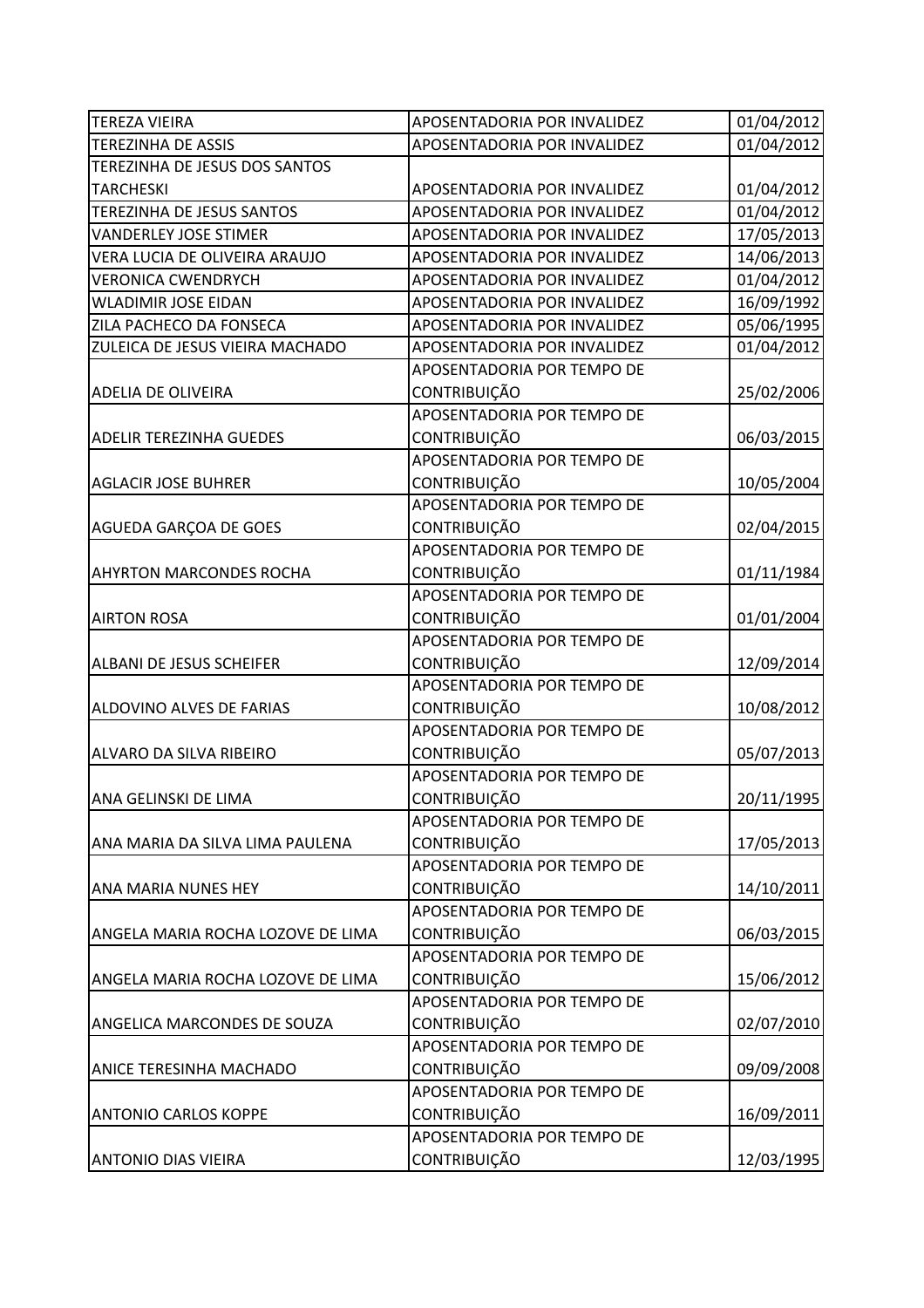| <b>TEREZA VIEIRA</b>               | APOSENTADORIA POR INVALIDEZ | 01/04/2012 |
|------------------------------------|-----------------------------|------------|
| <b>TEREZINHA DE ASSIS</b>          | APOSENTADORIA POR INVALIDEZ | 01/04/2012 |
| TEREZINHA DE JESUS DOS SANTOS      |                             |            |
| <b>TARCHESKI</b>                   | APOSENTADORIA POR INVALIDEZ | 01/04/2012 |
| TEREZINHA DE JESUS SANTOS          | APOSENTADORIA POR INVALIDEZ | 01/04/2012 |
| <b>VANDERLEY JOSE STIMER</b>       | APOSENTADORIA POR INVALIDEZ | 17/05/2013 |
| VERA LUCIA DE OLIVEIRA ARAUJO      | APOSENTADORIA POR INVALIDEZ | 14/06/2013 |
| <b>VERONICA CWENDRYCH</b>          | APOSENTADORIA POR INVALIDEZ | 01/04/2012 |
| <b>WLADIMIR JOSE EIDAN</b>         | APOSENTADORIA POR INVALIDEZ | 16/09/1992 |
| ZILA PACHECO DA FONSECA            | APOSENTADORIA POR INVALIDEZ | 05/06/1995 |
| ZULEICA DE JESUS VIEIRA MACHADO    | APOSENTADORIA POR INVALIDEZ | 01/04/2012 |
|                                    | APOSENTADORIA POR TEMPO DE  |            |
| <b>ADELIA DE OLIVEIRA</b>          | CONTRIBUIÇÃO                | 25/02/2006 |
|                                    | APOSENTADORIA POR TEMPO DE  |            |
| <b>ADELIR TEREZINHA GUEDES</b>     | CONTRIBUIÇÃO                | 06/03/2015 |
|                                    | APOSENTADORIA POR TEMPO DE  |            |
| <b>AGLACIR JOSE BUHRER</b>         | CONTRIBUIÇÃO                | 10/05/2004 |
|                                    | APOSENTADORIA POR TEMPO DE  |            |
| AGUEDA GARÇOA DE GOES              | CONTRIBUIÇÃO                | 02/04/2015 |
|                                    | APOSENTADORIA POR TEMPO DE  |            |
| <b>AHYRTON MARCONDES ROCHA</b>     | CONTRIBUIÇÃO                | 01/11/1984 |
|                                    | APOSENTADORIA POR TEMPO DE  |            |
| <b>AIRTON ROSA</b>                 | CONTRIBUIÇÃO                | 01/01/2004 |
|                                    | APOSENTADORIA POR TEMPO DE  |            |
| <b>ALBANI DE JESUS SCHEIFER</b>    | CONTRIBUIÇÃO                | 12/09/2014 |
|                                    | APOSENTADORIA POR TEMPO DE  |            |
| <b>ALDOVINO ALVES DE FARIAS</b>    | <b>CONTRIBUIÇÃO</b>         | 10/08/2012 |
|                                    | APOSENTADORIA POR TEMPO DE  |            |
| ALVARO DA SILVA RIBEIRO            | CONTRIBUIÇÃO                | 05/07/2013 |
|                                    | APOSENTADORIA POR TEMPO DE  |            |
| ANA GELINSKI DE LIMA               | CONTRIBUIÇÃO                | 20/11/1995 |
|                                    | APOSENTADORIA POR TEMPO DE  |            |
| ANA MARIA DA SILVA LIMA PAULENA    | CONTRIBUIÇÃO                | 17/05/2013 |
|                                    | APOSENTADORIA POR TEMPO DE  |            |
| <b>ANA MARIA NUNES HEY</b>         | <b>CONTRIBUIÇÃO</b>         | 14/10/2011 |
|                                    | APOSENTADORIA POR TEMPO DE  |            |
| ANGELA MARIA ROCHA LOZOVE DE LIMA  | <b>CONTRIBUIÇÃO</b>         | 06/03/2015 |
|                                    | APOSENTADORIA POR TEMPO DE  |            |
| ANGELA MARIA ROCHA LOZOVE DE LIMA  | <b>CONTRIBUIÇÃO</b>         | 15/06/2012 |
|                                    | APOSENTADORIA POR TEMPO DE  |            |
| <b>ANGELICA MARCONDES DE SOUZA</b> | CONTRIBUIÇÃO                | 02/07/2010 |
|                                    | APOSENTADORIA POR TEMPO DE  |            |
| <b>ANICE TERESINHA MACHADO</b>     | CONTRIBUIÇÃO                | 09/09/2008 |
|                                    | APOSENTADORIA POR TEMPO DE  |            |
| <b>ANTONIO CARLOS KOPPE</b>        | <b>CONTRIBUIÇÃO</b>         | 16/09/2011 |
|                                    | APOSENTADORIA POR TEMPO DE  |            |
| <b>ANTONIO DIAS VIEIRA</b>         | CONTRIBUIÇÃO                | 12/03/1995 |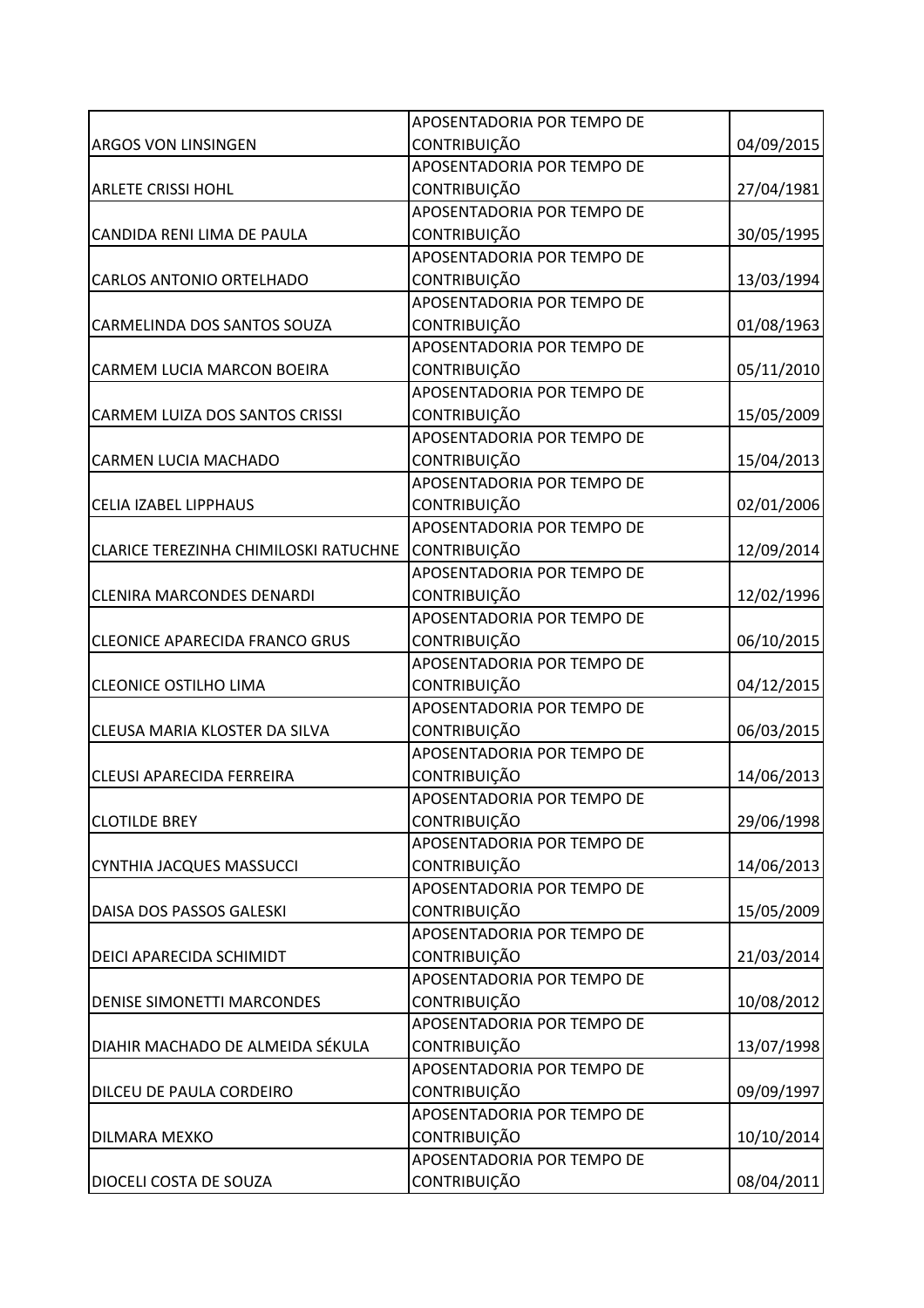|                                              | APOSENTADORIA POR TEMPO DE |            |
|----------------------------------------------|----------------------------|------------|
| <b>ARGOS VON LINSINGEN</b>                   | CONTRIBUIÇÃO               | 04/09/2015 |
|                                              | APOSENTADORIA POR TEMPO DE |            |
| <b>ARLETE CRISSI HOHL</b>                    | CONTRIBUIÇÃO               | 27/04/1981 |
|                                              | APOSENTADORIA POR TEMPO DE |            |
| CANDIDA RENI LIMA DE PAULA                   | CONTRIBUIÇÃO               | 30/05/1995 |
|                                              | APOSENTADORIA POR TEMPO DE |            |
| <b>CARLOS ANTONIO ORTELHADO</b>              | <b>CONTRIBUIÇÃO</b>        | 13/03/1994 |
|                                              | APOSENTADORIA POR TEMPO DE |            |
| CARMELINDA DOS SANTOS SOUZA                  | CONTRIBUIÇÃO               | 01/08/1963 |
|                                              | APOSENTADORIA POR TEMPO DE |            |
| CARMEM LUCIA MARCON BOEIRA                   | CONTRIBUIÇÃO               | 05/11/2010 |
|                                              | APOSENTADORIA POR TEMPO DE |            |
| <b>CARMEM LUIZA DOS SANTOS CRISSI</b>        | CONTRIBUIÇÃO               | 15/05/2009 |
|                                              | APOSENTADORIA POR TEMPO DE |            |
| <b>CARMEN LUCIA MACHADO</b>                  | CONTRIBUIÇÃO               | 15/04/2013 |
|                                              | APOSENTADORIA POR TEMPO DE |            |
| <b>CELIA IZABEL LIPPHAUS</b>                 | <b>CONTRIBUIÇÃO</b>        | 02/01/2006 |
|                                              | APOSENTADORIA POR TEMPO DE |            |
| <b>CLARICE TEREZINHA CHIMILOSKI RATUCHNE</b> | <b>CONTRIBUIÇÃO</b>        | 12/09/2014 |
|                                              | APOSENTADORIA POR TEMPO DE |            |
| <b>CLENIRA MARCONDES DENARDI</b>             | CONTRIBUIÇÃO               | 12/02/1996 |
|                                              | APOSENTADORIA POR TEMPO DE |            |
| <b>CLEONICE APARECIDA FRANCO GRUS</b>        | CONTRIBUIÇÃO               | 06/10/2015 |
|                                              | APOSENTADORIA POR TEMPO DE |            |
| <b>CLEONICE OSTILHO LIMA</b>                 | <b>CONTRIBUIÇÃO</b>        | 04/12/2015 |
|                                              | APOSENTADORIA POR TEMPO DE |            |
| CLEUSA MARIA KLOSTER DA SILVA                | <b>CONTRIBUIÇÃO</b>        | 06/03/2015 |
|                                              | APOSENTADORIA POR TEMPO DE |            |
| <b>CLEUSI APARECIDA FERREIRA</b>             | <b>CONTRIBUIÇÃO</b>        | 14/06/2013 |
|                                              | APOSENTADORIA POR TEMPO DE |            |
| <b>CLOTILDE BREY</b>                         | <b>CONTRIBUIÇÃO</b>        | 29/06/1998 |
|                                              | APOSENTADORIA POR TEMPO DE |            |
| <b>CYNTHIA JACQUES MASSUCCI</b>              | <b>CONTRIBUIÇÃO</b>        | 14/06/2013 |
|                                              | APOSENTADORIA POR TEMPO DE |            |
| DAISA DOS PASSOS GALESKI                     | CONTRIBUIÇÃO               | 15/05/2009 |
|                                              | APOSENTADORIA POR TEMPO DE |            |
| <b>DEICI APARECIDA SCHIMIDT</b>              | CONTRIBUIÇÃO               | 21/03/2014 |
|                                              | APOSENTADORIA POR TEMPO DE |            |
| <b>DENISE SIMONETTI MARCONDES</b>            | CONTRIBUIÇÃO               | 10/08/2012 |
|                                              | APOSENTADORIA POR TEMPO DE |            |
| DIAHIR MACHADO DE ALMEIDA SÉKULA             | CONTRIBUIÇÃO               | 13/07/1998 |
|                                              | APOSENTADORIA POR TEMPO DE |            |
| DILCEU DE PAULA CORDEIRO                     | CONTRIBUIÇÃO               | 09/09/1997 |
|                                              | APOSENTADORIA POR TEMPO DE |            |
| <b>DILMARA MEXKO</b>                         | CONTRIBUIÇÃO               | 10/10/2014 |
|                                              | APOSENTADORIA POR TEMPO DE |            |
| DIOCELI COSTA DE SOUZA                       | CONTRIBUIÇÃO               | 08/04/2011 |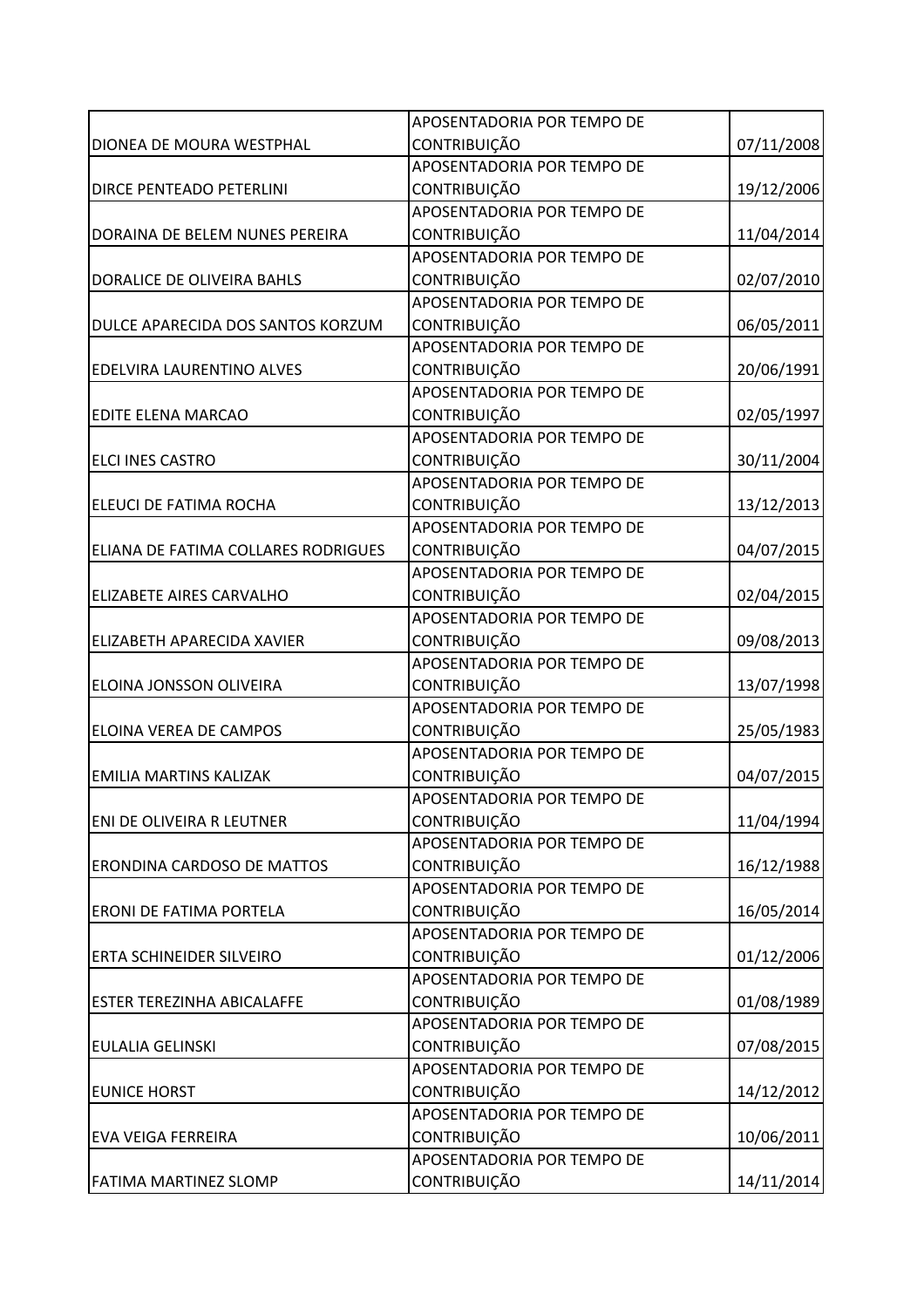|                                     | APOSENTADORIA POR TEMPO DE |            |
|-------------------------------------|----------------------------|------------|
| DIONEA DE MOURA WESTPHAL            | CONTRIBUIÇÃO               | 07/11/2008 |
|                                     | APOSENTADORIA POR TEMPO DE |            |
| <b>DIRCE PENTEADO PETERLINI</b>     | <b>CONTRIBUIÇÃO</b>        | 19/12/2006 |
|                                     | APOSENTADORIA POR TEMPO DE |            |
| DORAINA DE BELEM NUNES PEREIRA      | CONTRIBUIÇÃO               | 11/04/2014 |
|                                     | APOSENTADORIA POR TEMPO DE |            |
| DORALICE DE OLIVEIRA BAHLS          | <b>CONTRIBUIÇÃO</b>        | 02/07/2010 |
|                                     | APOSENTADORIA POR TEMPO DE |            |
| DULCE APARECIDA DOS SANTOS KORZUM   | <b>CONTRIBUIÇÃO</b>        | 06/05/2011 |
|                                     | APOSENTADORIA POR TEMPO DE |            |
| <b>EDELVIRA LAURENTINO ALVES</b>    | CONTRIBUIÇÃO               | 20/06/1991 |
|                                     | APOSENTADORIA POR TEMPO DE |            |
| <b>EDITE ELENA MARCAO</b>           | <b>CONTRIBUIÇÃO</b>        | 02/05/1997 |
|                                     | APOSENTADORIA POR TEMPO DE |            |
| <b>ELCI INES CASTRO</b>             | CONTRIBUIÇÃO               | 30/11/2004 |
|                                     | APOSENTADORIA POR TEMPO DE |            |
| ELEUCI DE FATIMA ROCHA              | <b>CONTRIBUIÇÃO</b>        | 13/12/2013 |
|                                     | APOSENTADORIA POR TEMPO DE |            |
| ELIANA DE FATIMA COLLARES RODRIGUES | CONTRIBUIÇÃO               | 04/07/2015 |
|                                     | APOSENTADORIA POR TEMPO DE |            |
| <b>ELIZABETE AIRES CARVALHO</b>     | CONTRIBUIÇÃO               | 02/04/2015 |
|                                     | APOSENTADORIA POR TEMPO DE |            |
| ELIZABETH APARECIDA XAVIER          | <b>CONTRIBUIÇÃO</b>        | 09/08/2013 |
|                                     | APOSENTADORIA POR TEMPO DE |            |
| ELOINA JONSSON OLIVEIRA             | CONTRIBUIÇÃO               | 13/07/1998 |
|                                     | APOSENTADORIA POR TEMPO DE |            |
| <b>ELOINA VEREA DE CAMPOS</b>       | <b>CONTRIBUIÇÃO</b>        | 25/05/1983 |
|                                     | APOSENTADORIA POR TEMPO DE |            |
| <b>EMILIA MARTINS KALIZAK</b>       | CONTRIBUIÇÃO               | 04/07/2015 |
|                                     | APOSENTADORIA POR TEMPO DE |            |
| ENI DE OLIVEIRA R LEUTNER           | <b>CONTRIBUIÇÃO</b>        | 11/04/1994 |
|                                     | APOSENTADORIA POR TEMPO DE |            |
| <b>ERONDINA CARDOSO DE MATTOS</b>   | CONTRIBUIÇÃO               | 16/12/1988 |
|                                     | APOSENTADORIA POR TEMPO DE |            |
| <b>ERONI DE FATIMA PORTELA</b>      | CONTRIBUIÇÃO               | 16/05/2014 |
|                                     | APOSENTADORIA POR TEMPO DE |            |
| <b>ERTA SCHINEIDER SILVEIRO</b>     | CONTRIBUIÇÃO               | 01/12/2006 |
|                                     | APOSENTADORIA POR TEMPO DE |            |
| <b>ESTER TEREZINHA ABICALAFFE</b>   | <b>CONTRIBUIÇÃO</b>        | 01/08/1989 |
|                                     | APOSENTADORIA POR TEMPO DE |            |
| <b>EULALIA GELINSKI</b>             | CONTRIBUIÇÃO               | 07/08/2015 |
|                                     | APOSENTADORIA POR TEMPO DE |            |
| <b>EUNICE HORST</b>                 | CONTRIBUIÇÃO               | 14/12/2012 |
|                                     | APOSENTADORIA POR TEMPO DE |            |
| <b>EVA VEIGA FERREIRA</b>           | CONTRIBUIÇÃO               | 10/06/2011 |
|                                     | APOSENTADORIA POR TEMPO DE |            |
| <b>FATIMA MARTINEZ SLOMP</b>        | CONTRIBUIÇÃO               | 14/11/2014 |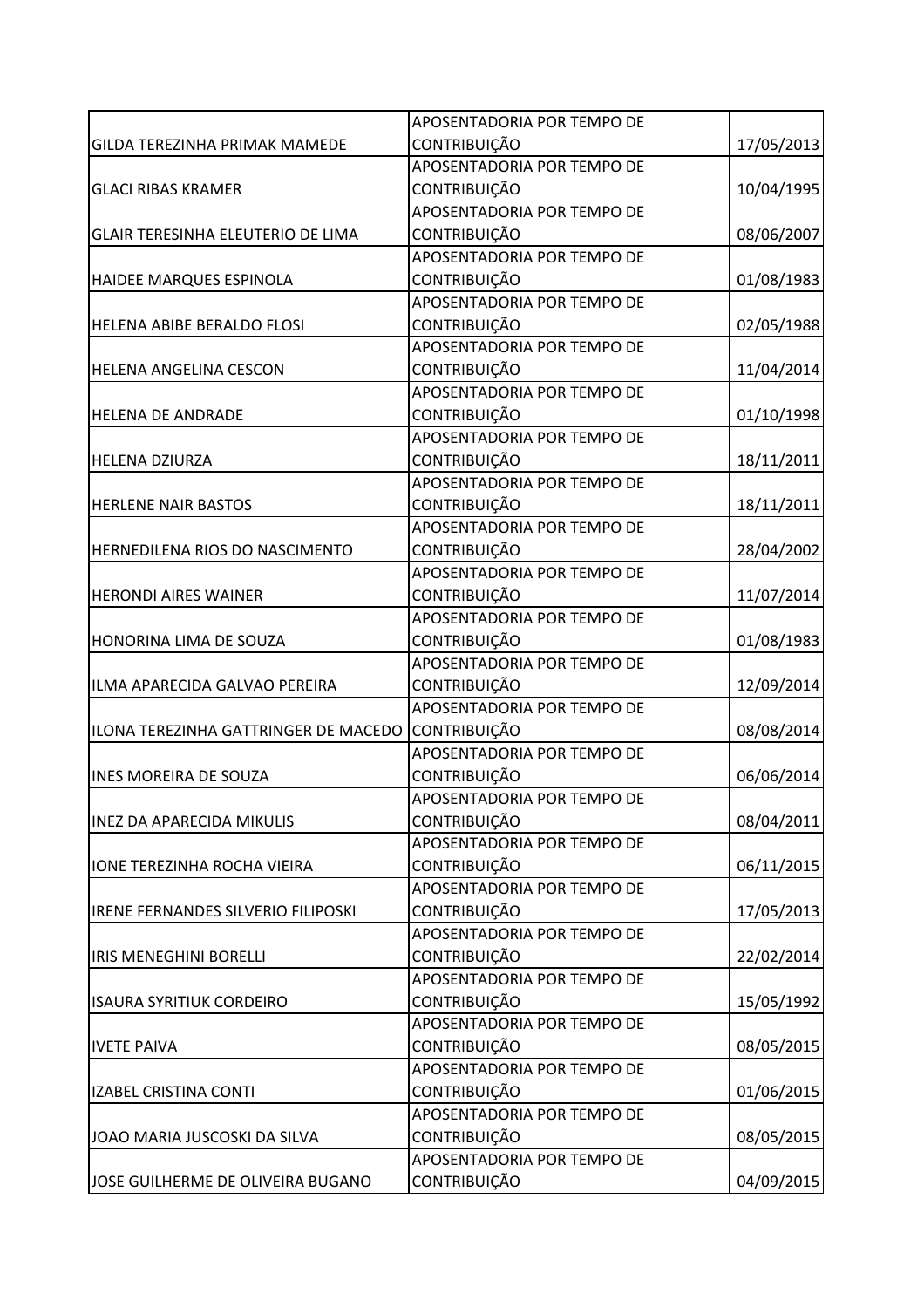|                                           | APOSENTADORIA POR TEMPO DE |            |
|-------------------------------------------|----------------------------|------------|
| GILDA TEREZINHA PRIMAK MAMEDE             | <b>CONTRIBUIÇÃO</b>        | 17/05/2013 |
|                                           | APOSENTADORIA POR TEMPO DE |            |
| <b>GLACI RIBAS KRAMER</b>                 | <b>CONTRIBUIÇÃO</b>        | 10/04/1995 |
|                                           | APOSENTADORIA POR TEMPO DE |            |
| <b>GLAIR TERESINHA ELEUTERIO DE LIMA</b>  | <b>CONTRIBUIÇÃO</b>        | 08/06/2007 |
|                                           | APOSENTADORIA POR TEMPO DE |            |
| HAIDEE MARQUES ESPINOLA                   | CONTRIBUIÇÃO               | 01/08/1983 |
|                                           | APOSENTADORIA POR TEMPO DE |            |
| HELENA ABIBE BERALDO FLOSI                | <b>CONTRIBUIÇÃO</b>        | 02/05/1988 |
|                                           | APOSENTADORIA POR TEMPO DE |            |
| HELENA ANGELINA CESCON                    | CONTRIBUIÇÃO               | 11/04/2014 |
|                                           | APOSENTADORIA POR TEMPO DE |            |
| <b>HELENA DE ANDRADE</b>                  | <b>CONTRIBUIÇÃO</b>        | 01/10/1998 |
|                                           | APOSENTADORIA POR TEMPO DE |            |
| <b>HELENA DZIURZA</b>                     | CONTRIBUIÇÃO               | 18/11/2011 |
|                                           | APOSENTADORIA POR TEMPO DE |            |
| <b>HERLENE NAIR BASTOS</b>                | <b>CONTRIBUIÇÃO</b>        | 18/11/2011 |
|                                           | APOSENTADORIA POR TEMPO DE |            |
| HERNEDILENA RIOS DO NASCIMENTO            | <b>CONTRIBUIÇÃO</b>        | 28/04/2002 |
|                                           | APOSENTADORIA POR TEMPO DE |            |
| <b>HERONDI AIRES WAINER</b>               | <b>CONTRIBUIÇÃO</b>        | 11/07/2014 |
|                                           | APOSENTADORIA POR TEMPO DE |            |
| <b>HONORINA LIMA DE SOUZA</b>             | CONTRIBUIÇÃO               | 01/08/1983 |
|                                           | APOSENTADORIA POR TEMPO DE |            |
| ILMA APARECIDA GALVAO PEREIRA             | CONTRIBUIÇÃO               | 12/09/2014 |
|                                           | APOSENTADORIA POR TEMPO DE |            |
| ILONA TEREZINHA GATTRINGER DE MACEDO      | <b>CONTRIBUIÇÃO</b>        | 08/08/2014 |
|                                           | APOSENTADORIA POR TEMPO DE |            |
| <b>INES MOREIRA DE SOUZA</b>              | <b>CONTRIBUIÇÃO</b>        | 06/06/2014 |
|                                           | APOSENTADORIA POR TEMPO DE |            |
| <b>INEZ DA APARECIDA MIKULIS</b>          | <b>CONTRIBUIÇÃO</b>        | 08/04/2011 |
|                                           | APOSENTADORIA POR TEMPO DE |            |
| <b>IONE TEREZINHA ROCHA VIEIRA</b>        | <b>CONTRIBUIÇÃO</b>        | 06/11/2015 |
|                                           | APOSENTADORIA POR TEMPO DE |            |
| <b>IRENE FERNANDES SILVERIO FILIPOSKI</b> | <b>CONTRIBUIÇÃO</b>        | 17/05/2013 |
|                                           | APOSENTADORIA POR TEMPO DE |            |
| <b>IRIS MENEGHINI BORELLI</b>             | CONTRIBUIÇÃO               | 22/02/2014 |
|                                           | APOSENTADORIA POR TEMPO DE |            |
| <b>ISAURA SYRITIUK CORDEIRO</b>           | <b>CONTRIBUIÇÃO</b>        | 15/05/1992 |
|                                           | APOSENTADORIA POR TEMPO DE |            |
| <b>IVETE PAIVA</b>                        | <b>CONTRIBUIÇÃO</b>        | 08/05/2015 |
|                                           | APOSENTADORIA POR TEMPO DE |            |
| <b>IZABEL CRISTINA CONTI</b>              | <b>CONTRIBUIÇÃO</b>        | 01/06/2015 |
|                                           | APOSENTADORIA POR TEMPO DE |            |
| JOAO MARIA JUSCOSKI DA SILVA              | <b>CONTRIBUIÇÃO</b>        | 08/05/2015 |
|                                           | APOSENTADORIA POR TEMPO DE |            |
| JOSE GUILHERME DE OLIVEIRA BUGANO         | CONTRIBUIÇÃO               | 04/09/2015 |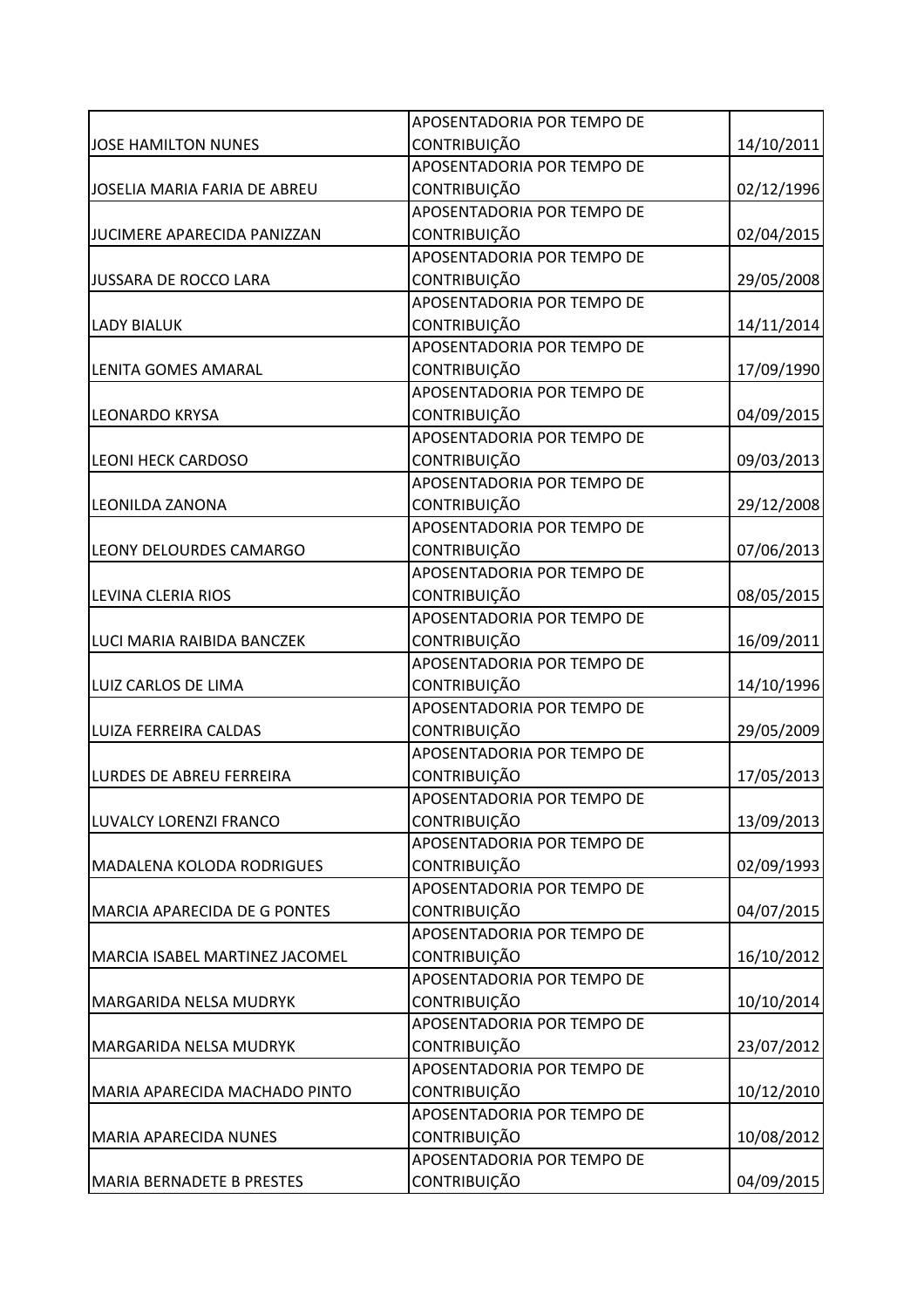|                                     | APOSENTADORIA POR TEMPO DE |            |
|-------------------------------------|----------------------------|------------|
| <b>JOSE HAMILTON NUNES</b>          | <b>CONTRIBUIÇÃO</b>        | 14/10/2011 |
|                                     | APOSENTADORIA POR TEMPO DE |            |
| JOSELIA MARIA FARIA DE ABREU        | CONTRIBUIÇÃO               | 02/12/1996 |
|                                     | APOSENTADORIA POR TEMPO DE |            |
| JUCIMERE APARECIDA PANIZZAN         | <b>CONTRIBUIÇÃO</b>        | 02/04/2015 |
|                                     | APOSENTADORIA POR TEMPO DE |            |
| JUSSARA DE ROCCO LARA               | CONTRIBUIÇÃO               | 29/05/2008 |
|                                     | APOSENTADORIA POR TEMPO DE |            |
| <b>LADY BIALUK</b>                  | <b>CONTRIBUIÇÃO</b>        | 14/11/2014 |
|                                     | APOSENTADORIA POR TEMPO DE |            |
| LENITA GOMES AMARAL                 | CONTRIBUIÇÃO               | 17/09/1990 |
|                                     | APOSENTADORIA POR TEMPO DE |            |
| LEONARDO KRYSA                      | <b>CONTRIBUIÇÃO</b>        | 04/09/2015 |
|                                     | APOSENTADORIA POR TEMPO DE |            |
| <b>LEONI HECK CARDOSO</b>           | CONTRIBUIÇÃO               | 09/03/2013 |
|                                     | APOSENTADORIA POR TEMPO DE |            |
| <b>LEONILDA ZANONA</b>              | <b>CONTRIBUIÇÃO</b>        | 29/12/2008 |
|                                     | APOSENTADORIA POR TEMPO DE |            |
| <b>LEONY DELOURDES CAMARGO</b>      | <b>CONTRIBUIÇÃO</b>        | 07/06/2013 |
|                                     | APOSENTADORIA POR TEMPO DE |            |
| LEVINA CLERIA RIOS                  | <b>CONTRIBUIÇÃO</b>        | 08/05/2015 |
|                                     | APOSENTADORIA POR TEMPO DE |            |
| LUCI MARIA RAIBIDA BANCZEK          | <b>CONTRIBUIÇÃO</b>        | 16/09/2011 |
|                                     | APOSENTADORIA POR TEMPO DE |            |
| LUIZ CARLOS DE LIMA                 | CONTRIBUIÇÃO               | 14/10/1996 |
|                                     | APOSENTADORIA POR TEMPO DE |            |
| LUIZA FERREIRA CALDAS               | CONTRIBUIÇÃO               | 29/05/2009 |
|                                     | APOSENTADORIA POR TEMPO DE |            |
| <b>LURDES DE ABREU FERREIRA</b>     | CONTRIBUIÇÃO               | 17/05/2013 |
|                                     | APOSENTADORIA POR TEMPO DE |            |
| LUVALCY LORENZI FRANCO              | <b>CONTRIBUIÇÃO</b>        | 13/09/2013 |
|                                     | APOSENTADORIA POR TEMPO DE |            |
| <b>MADALENA KOLODA RODRIGUES</b>    | <b>CONTRIBUIÇÃO</b>        | 02/09/1993 |
|                                     | APOSENTADORIA POR TEMPO DE |            |
| <b>MARCIA APARECIDA DE G PONTES</b> | <b>CONTRIBUIÇÃO</b>        | 04/07/2015 |
|                                     | APOSENTADORIA POR TEMPO DE |            |
| MARCIA ISABEL MARTINEZ JACOMEL      | <b>CONTRIBUIÇÃO</b>        | 16/10/2012 |
|                                     | APOSENTADORIA POR TEMPO DE |            |
| MARGARIDA NELSA MUDRYK              | <b>CONTRIBUIÇÃO</b>        | 10/10/2014 |
|                                     | APOSENTADORIA POR TEMPO DE |            |
| <b>MARGARIDA NELSA MUDRYK</b>       | <b>CONTRIBUIÇÃO</b>        | 23/07/2012 |
|                                     | APOSENTADORIA POR TEMPO DE |            |
| MARIA APARECIDA MACHADO PINTO       | <b>CONTRIBUIÇÃO</b>        | 10/12/2010 |
|                                     | APOSENTADORIA POR TEMPO DE |            |
| <b>MARIA APARECIDA NUNES</b>        | <b>CONTRIBUIÇÃO</b>        | 10/08/2012 |
|                                     | APOSENTADORIA POR TEMPO DE |            |
| <b>MARIA BERNADETE B PRESTES</b>    | CONTRIBUIÇÃO               | 04/09/2015 |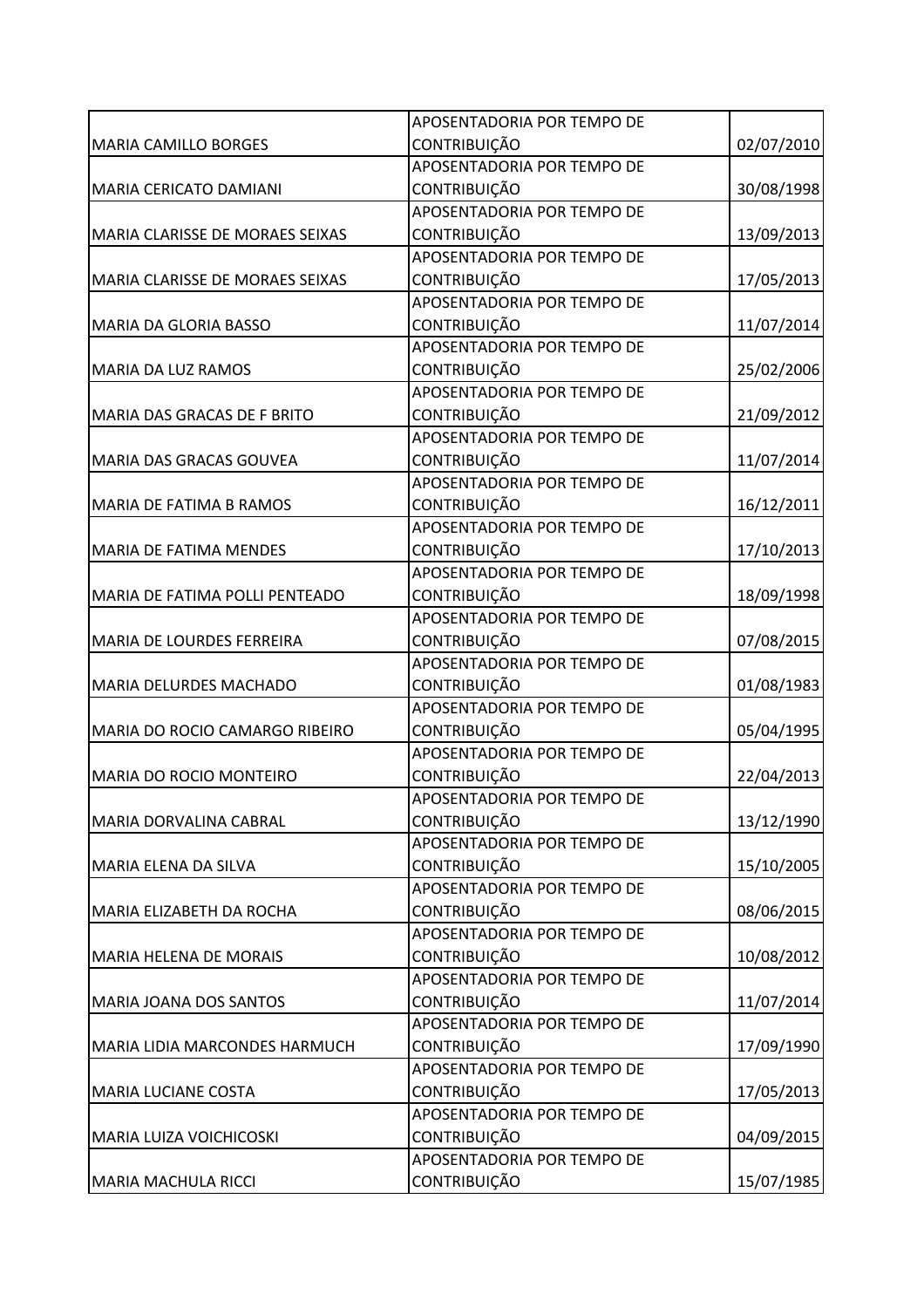|                                      | APOSENTADORIA POR TEMPO DE |            |
|--------------------------------------|----------------------------|------------|
| <b>MARIA CAMILLO BORGES</b>          | CONTRIBUIÇÃO               | 02/07/2010 |
|                                      | APOSENTADORIA POR TEMPO DE |            |
| MARIA CERICATO DAMIANI               | CONTRIBUIÇÃO               | 30/08/1998 |
|                                      | APOSENTADORIA POR TEMPO DE |            |
| MARIA CLARISSE DE MORAES SEIXAS      | CONTRIBUIÇÃO               | 13/09/2013 |
|                                      | APOSENTADORIA POR TEMPO DE |            |
| MARIA CLARISSE DE MORAES SEIXAS      | CONTRIBUIÇÃO               | 17/05/2013 |
|                                      | APOSENTADORIA POR TEMPO DE |            |
| <b>MARIA DA GLORIA BASSO</b>         | <b>CONTRIBUIÇÃO</b>        | 11/07/2014 |
|                                      | APOSENTADORIA POR TEMPO DE |            |
| MARIA DA LUZ RAMOS                   | CONTRIBUIÇÃO               | 25/02/2006 |
|                                      | APOSENTADORIA POR TEMPO DE |            |
| MARIA DAS GRACAS DE F BRITO          | CONTRIBUIÇÃO               | 21/09/2012 |
|                                      | APOSENTADORIA POR TEMPO DE |            |
| MARIA DAS GRACAS GOUVEA              | CONTRIBUIÇÃO               | 11/07/2014 |
|                                      | APOSENTADORIA POR TEMPO DE |            |
| <b>MARIA DE FATIMA B RAMOS</b>       | <b>CONTRIBUIÇÃO</b>        | 16/12/2011 |
|                                      | APOSENTADORIA POR TEMPO DE |            |
| <b>MARIA DE FATIMA MENDES</b>        | <b>CONTRIBUIÇÃO</b>        | 17/10/2013 |
|                                      | APOSENTADORIA POR TEMPO DE |            |
| MARIA DE FATIMA POLLI PENTEADO       | CONTRIBUIÇÃO               | 18/09/1998 |
|                                      | APOSENTADORIA POR TEMPO DE |            |
| <b>MARIA DE LOURDES FERREIRA</b>     | <b>CONTRIBUIÇÃO</b>        | 07/08/2015 |
|                                      | APOSENTADORIA POR TEMPO DE |            |
| <b>MARIA DELURDES MACHADO</b>        | CONTRIBUIÇÃO               | 01/08/1983 |
|                                      | APOSENTADORIA POR TEMPO DE |            |
| MARIA DO ROCIO CAMARGO RIBEIRO       | <b>CONTRIBUIÇÃO</b>        | 05/04/1995 |
|                                      | APOSENTADORIA POR TEMPO DE |            |
| <b>MARIA DO ROCIO MONTEIRO</b>       | <b>CONTRIBUIÇÃO</b>        | 22/04/2013 |
|                                      | APOSENTADORIA POR TEMPO DE |            |
| MARIA DORVALINA CABRAL               | CONTRIBUIÇÃO               | 13/12/1990 |
|                                      | APOSENTADORIA POR TEMPO DE |            |
| MARIA ELENA DA SILVA                 | <b>CONTRIBUIÇÃO</b>        | 15/10/2005 |
|                                      | APOSENTADORIA POR TEMPO DE |            |
| MARIA ELIZABETH DA ROCHA             | <b>CONTRIBUIÇÃO</b>        | 08/06/2015 |
|                                      | APOSENTADORIA POR TEMPO DE |            |
| <b>MARIA HELENA DE MORAIS</b>        | CONTRIBUIÇÃO               | 10/08/2012 |
|                                      | APOSENTADORIA POR TEMPO DE |            |
| <b>MARIA JOANA DOS SANTOS</b>        | CONTRIBUIÇÃO               | 11/07/2014 |
|                                      | APOSENTADORIA POR TEMPO DE |            |
| <b>MARIA LIDIA MARCONDES HARMUCH</b> | CONTRIBUIÇÃO               | 17/09/1990 |
|                                      | APOSENTADORIA POR TEMPO DE |            |
| <b>MARIA LUCIANE COSTA</b>           | CONTRIBUIÇÃO               | 17/05/2013 |
|                                      | APOSENTADORIA POR TEMPO DE |            |
| <b>MARIA LUIZA VOICHICOSKI</b>       | <b>CONTRIBUIÇÃO</b>        | 04/09/2015 |
|                                      | APOSENTADORIA POR TEMPO DE |            |
| MARIA MACHULA RICCI                  | CONTRIBUIÇÃO               | 15/07/1985 |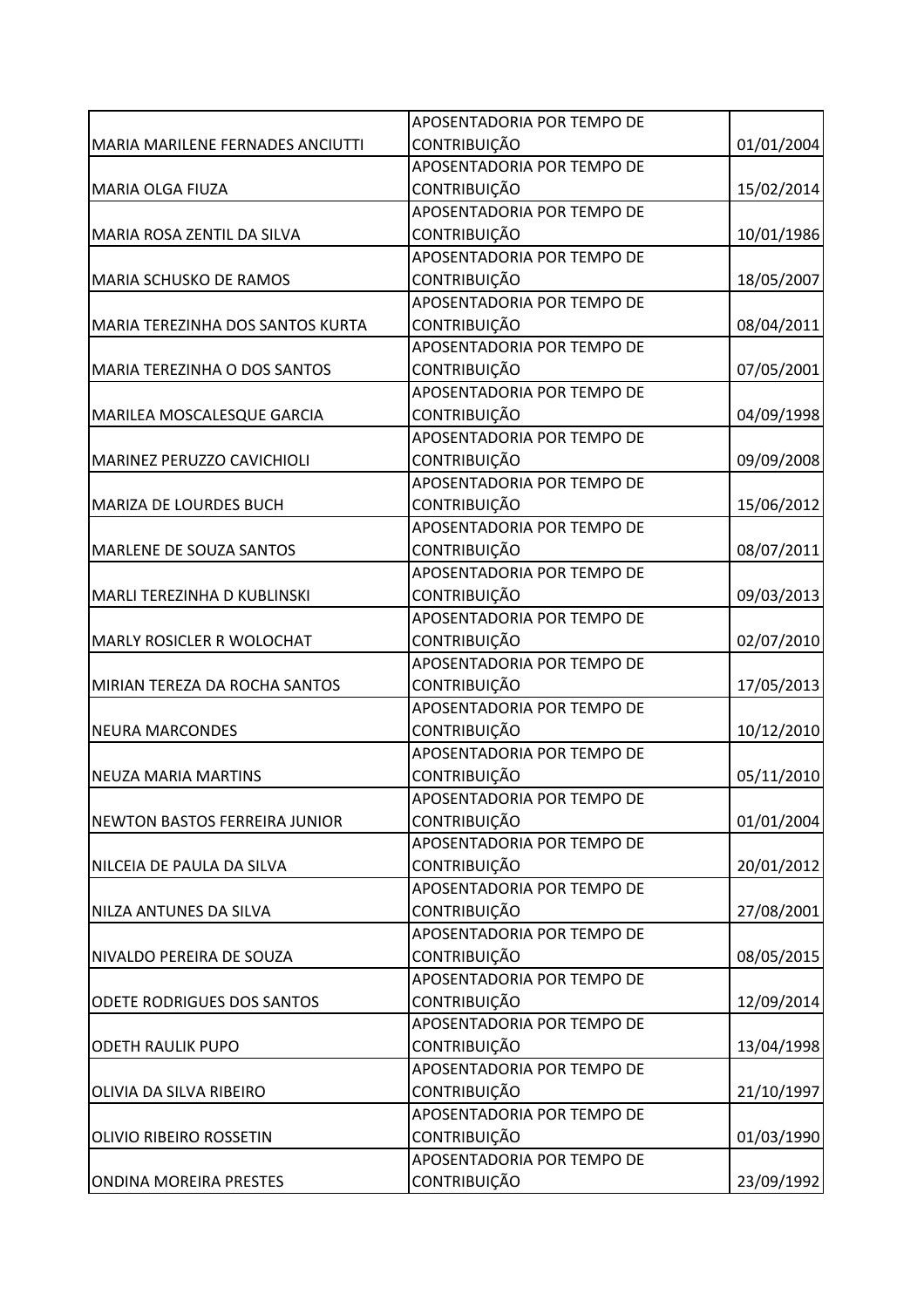|                                      | APOSENTADORIA POR TEMPO DE |            |
|--------------------------------------|----------------------------|------------|
| MARIA MARILENE FERNADES ANCIUTTI     | <b>CONTRIBUIÇÃO</b>        | 01/01/2004 |
|                                      | APOSENTADORIA POR TEMPO DE |            |
| <b>MARIA OLGA FIUZA</b>              | <b>CONTRIBUIÇÃO</b>        | 15/02/2014 |
|                                      | APOSENTADORIA POR TEMPO DE |            |
| MARIA ROSA ZENTIL DA SILVA           | <b>CONTRIBUIÇÃO</b>        | 10/01/1986 |
|                                      | APOSENTADORIA POR TEMPO DE |            |
| <b>MARIA SCHUSKO DE RAMOS</b>        | <b>CONTRIBUIÇÃO</b>        | 18/05/2007 |
|                                      | APOSENTADORIA POR TEMPO DE |            |
| MARIA TEREZINHA DOS SANTOS KURTA     | <b>CONTRIBUIÇÃO</b>        | 08/04/2011 |
|                                      | APOSENTADORIA POR TEMPO DE |            |
| MARIA TEREZINHA O DOS SANTOS         | CONTRIBUIÇÃO               | 07/05/2001 |
|                                      | APOSENTADORIA POR TEMPO DE |            |
| MARILEA MOSCALESQUE GARCIA           | CONTRIBUIÇÃO               | 04/09/1998 |
|                                      | APOSENTADORIA POR TEMPO DE |            |
| MARINEZ PERUZZO CAVICHIOLI           | <b>CONTRIBUIÇÃO</b>        | 09/09/2008 |
|                                      | APOSENTADORIA POR TEMPO DE |            |
| <b>MARIZA DE LOURDES BUCH</b>        | <b>CONTRIBUIÇÃO</b>        | 15/06/2012 |
|                                      | APOSENTADORIA POR TEMPO DE |            |
| MARLENE DE SOUZA SANTOS              | <b>CONTRIBUIÇÃO</b>        | 08/07/2011 |
|                                      | APOSENTADORIA POR TEMPO DE |            |
| MARLI TEREZINHA D KUBLINSKI          | <b>CONTRIBUIÇÃO</b>        | 09/03/2013 |
|                                      | APOSENTADORIA POR TEMPO DE |            |
| <b>MARLY ROSICLER R WOLOCHAT</b>     | <b>CONTRIBUIÇÃO</b>        | 02/07/2010 |
|                                      | APOSENTADORIA POR TEMPO DE |            |
| MIRIAN TEREZA DA ROCHA SANTOS        | CONTRIBUIÇÃO               | 17/05/2013 |
|                                      | APOSENTADORIA POR TEMPO DE |            |
| <b>NEURA MARCONDES</b>               | <b>CONTRIBUIÇÃO</b>        | 10/12/2010 |
|                                      | APOSENTADORIA POR TEMPO DE |            |
| <b>NEUZA MARIA MARTINS</b>           | <b>CONTRIBUIÇÃO</b>        | 05/11/2010 |
|                                      | APOSENTADORIA POR TEMPO DE |            |
| <b>NEWTON BASTOS FERREIRA JUNIOR</b> | <b>CONTRIBUIÇÃO</b>        | 01/01/2004 |
|                                      | APOSENTADORIA POR TEMPO DE |            |
| NILCEIA DE PAULA DA SILVA            | <b>CONTRIBUIÇÃO</b>        | 20/01/2012 |
|                                      | APOSENTADORIA POR TEMPO DE |            |
| NILZA ANTUNES DA SILVA               | <b>CONTRIBUIÇÃO</b>        | 27/08/2001 |
|                                      | APOSENTADORIA POR TEMPO DE |            |
| NIVALDO PEREIRA DE SOUZA             | CONTRIBUIÇÃO               | 08/05/2015 |
|                                      | APOSENTADORIA POR TEMPO DE |            |
| ODETE RODRIGUES DOS SANTOS           | <b>CONTRIBUIÇÃO</b>        | 12/09/2014 |
|                                      | APOSENTADORIA POR TEMPO DE |            |
| <b>ODETH RAULIK PUPO</b>             | <b>CONTRIBUIÇÃO</b>        | 13/04/1998 |
|                                      | APOSENTADORIA POR TEMPO DE |            |
| OLIVIA DA SILVA RIBEIRO              | <b>CONTRIBUIÇÃO</b>        | 21/10/1997 |
|                                      | APOSENTADORIA POR TEMPO DE |            |
| OLIVIO RIBEIRO ROSSETIN              | <b>CONTRIBUIÇÃO</b>        | 01/03/1990 |
|                                      | APOSENTADORIA POR TEMPO DE |            |
| <b>ONDINA MOREIRA PRESTES</b>        | <b>CONTRIBUIÇÃO</b>        | 23/09/1992 |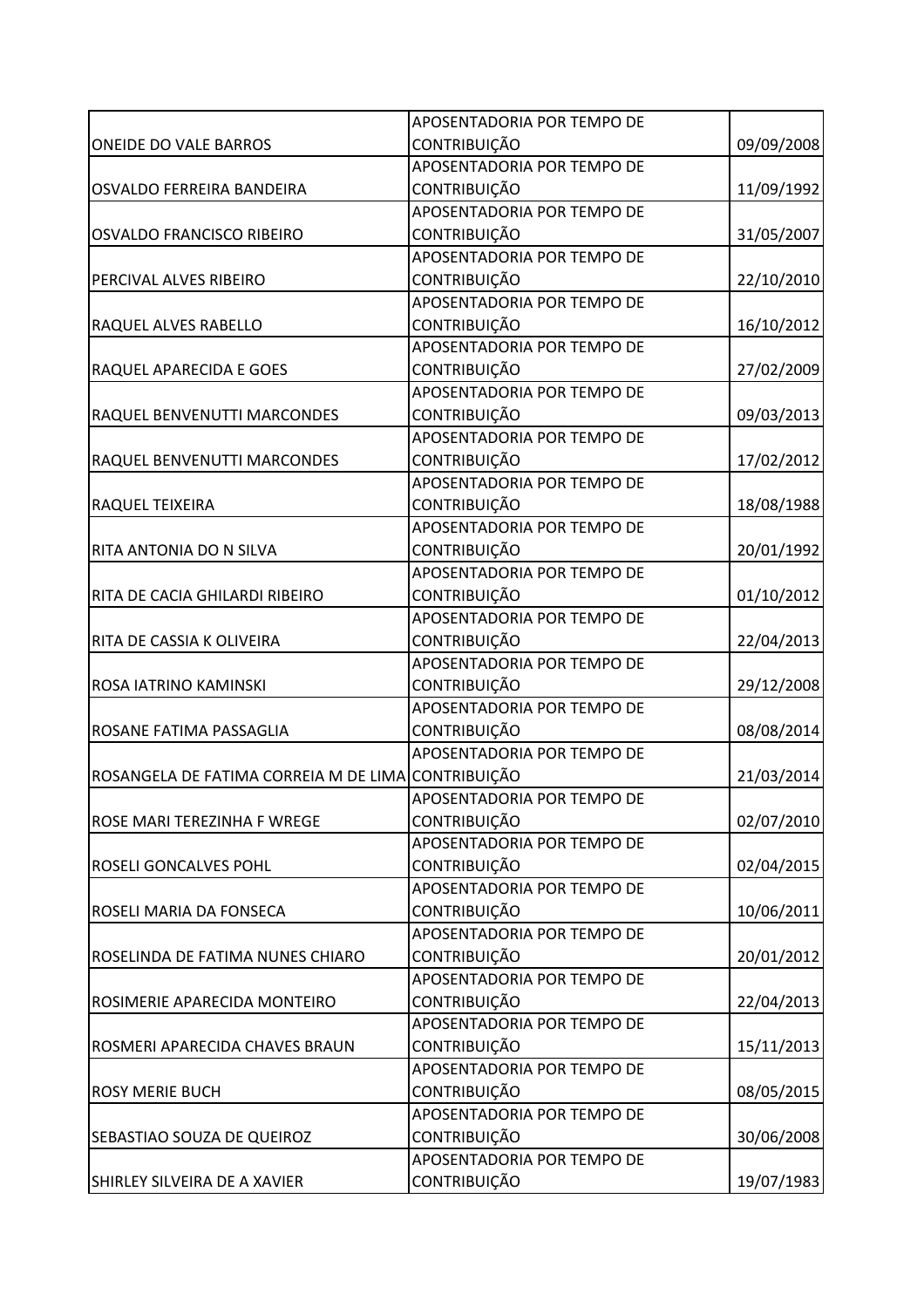|                                                    | APOSENTADORIA POR TEMPO DE        |            |
|----------------------------------------------------|-----------------------------------|------------|
| <b>ONEIDE DO VALE BARROS</b>                       | CONTRIBUIÇÃO                      | 09/09/2008 |
|                                                    | APOSENTADORIA POR TEMPO DE        |            |
| OSVALDO FERREIRA BANDEIRA                          | <b>CONTRIBUIÇÃO</b>               | 11/09/1992 |
|                                                    | APOSENTADORIA POR TEMPO DE        |            |
| <b>OSVALDO FRANCISCO RIBEIRO</b>                   | CONTRIBUIÇÃO                      | 31/05/2007 |
|                                                    | APOSENTADORIA POR TEMPO DE        |            |
| PERCIVAL ALVES RIBEIRO                             | CONTRIBUIÇÃO                      | 22/10/2010 |
|                                                    | APOSENTADORIA POR TEMPO DE        |            |
| RAQUEL ALVES RABELLO                               | CONTRIBUIÇÃO                      | 16/10/2012 |
|                                                    | APOSENTADORIA POR TEMPO DE        |            |
| RAQUEL APARECIDA E GOES                            | CONTRIBUIÇÃO                      | 27/02/2009 |
|                                                    | APOSENTADORIA POR TEMPO DE        |            |
| RAQUEL BENVENUTTI MARCONDES                        | CONTRIBUIÇÃO                      | 09/03/2013 |
|                                                    | APOSENTADORIA POR TEMPO DE        |            |
| RAQUEL BENVENUTTI MARCONDES                        | CONTRIBUIÇÃO                      | 17/02/2012 |
|                                                    | APOSENTADORIA POR TEMPO DE        |            |
| RAQUEL TEIXEIRA                                    | CONTRIBUIÇÃO                      | 18/08/1988 |
|                                                    | APOSENTADORIA POR TEMPO DE        |            |
| RITA ANTONIA DO N SILVA                            | CONTRIBUIÇÃO                      | 20/01/1992 |
|                                                    | APOSENTADORIA POR TEMPO DE        |            |
| RITA DE CACIA GHILARDI RIBEIRO                     | CONTRIBUIÇÃO                      | 01/10/2012 |
|                                                    | APOSENTADORIA POR TEMPO DE        |            |
| RITA DE CASSIA K OLIVEIRA                          | <b>CONTRIBUIÇÃO</b>               | 22/04/2013 |
|                                                    | APOSENTADORIA POR TEMPO DE        |            |
| ROSA IATRINO KAMINSKI                              | CONTRIBUIÇÃO                      | 29/12/2008 |
|                                                    | APOSENTADORIA POR TEMPO DE        |            |
| ROSANE FATIMA PASSAGLIA                            | <b>CONTRIBUIÇÃO</b>               | 08/08/2014 |
|                                                    | APOSENTADORIA POR TEMPO DE        |            |
| ROSANGELA DE FATIMA CORREIA M DE LIMA CONTRIBUIÇÃO |                                   | 21/03/2014 |
|                                                    | <b>APOSENTADORIA POR TEMPO DE</b> |            |
| ROSE MARI TEREZINHA F WREGE                        | CONTRIBUIÇÃO                      | 02/07/2010 |
|                                                    | APOSENTADORIA POR TEMPO DE        |            |
| ROSELI GONCALVES POHL                              | <b>CONTRIBUIÇÃO</b>               | 02/04/2015 |
|                                                    | APOSENTADORIA POR TEMPO DE        |            |
| ROSELI MARIA DA FONSECA                            | <b>CONTRIBUIÇÃO</b>               | 10/06/2011 |
|                                                    | APOSENTADORIA POR TEMPO DE        |            |
| ROSELINDA DE FATIMA NUNES CHIARO                   | CONTRIBUIÇÃO                      | 20/01/2012 |
|                                                    | APOSENTADORIA POR TEMPO DE        |            |
| ROSIMERIE APARECIDA MONTEIRO                       | <b>CONTRIBUIÇÃO</b>               | 22/04/2013 |
|                                                    | APOSENTADORIA POR TEMPO DE        |            |
| ROSMERI APARECIDA CHAVES BRAUN                     | CONTRIBUIÇÃO                      | 15/11/2013 |
|                                                    | APOSENTADORIA POR TEMPO DE        |            |
| <b>ROSY MERIE BUCH</b>                             | CONTRIBUIÇÃO                      | 08/05/2015 |
|                                                    | APOSENTADORIA POR TEMPO DE        |            |
| SEBASTIAO SOUZA DE QUEIROZ                         | CONTRIBUIÇÃO                      | 30/06/2008 |
|                                                    | APOSENTADORIA POR TEMPO DE        |            |
| SHIRLEY SILVEIRA DE A XAVIER                       | CONTRIBUIÇÃO                      | 19/07/1983 |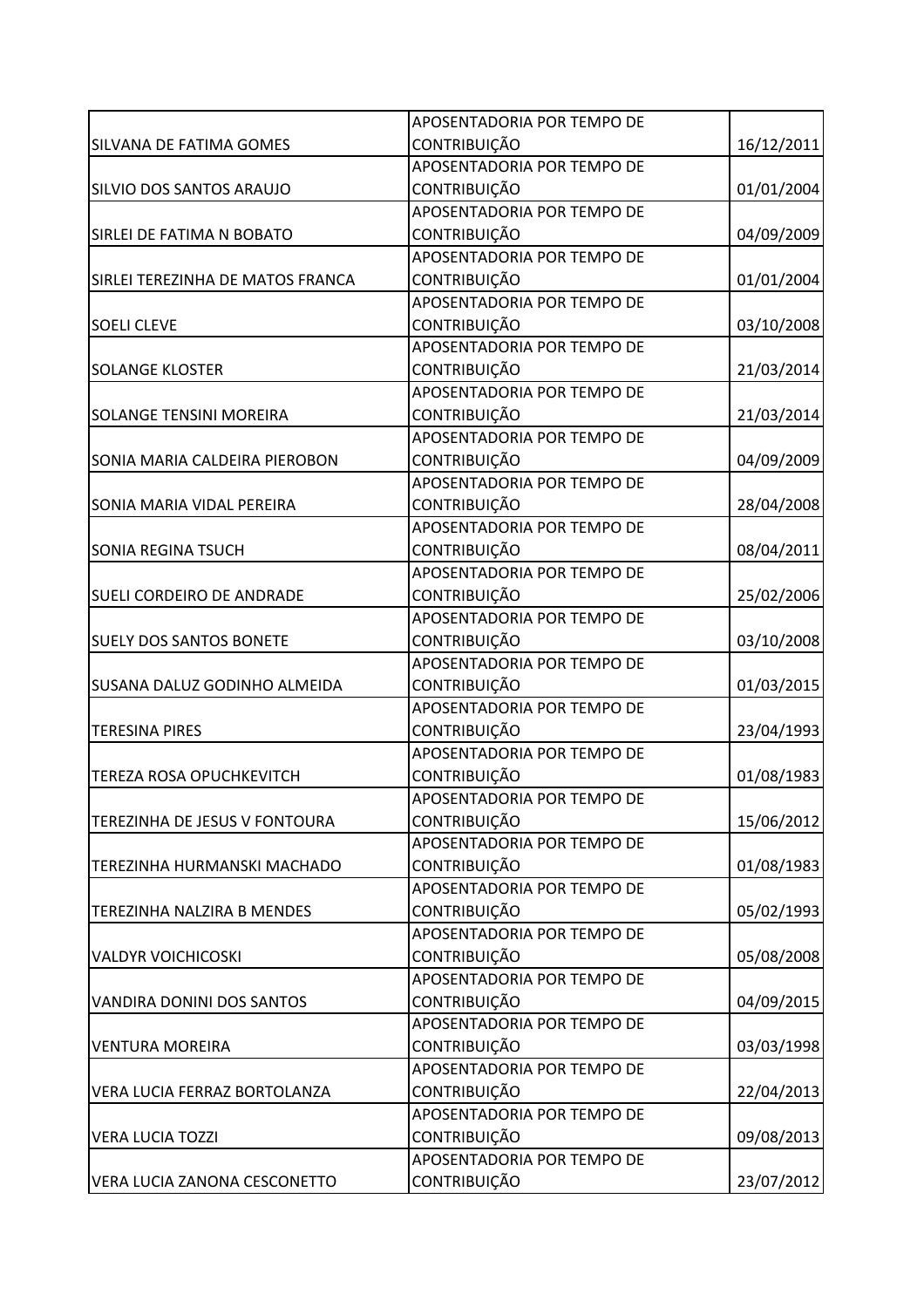|                                  | APOSENTADORIA POR TEMPO DE |            |
|----------------------------------|----------------------------|------------|
| SILVANA DE FATIMA GOMES          | <b>CONTRIBUIÇÃO</b>        | 16/12/2011 |
|                                  | APOSENTADORIA POR TEMPO DE |            |
| SILVIO DOS SANTOS ARAUJO         | <b>CONTRIBUIÇÃO</b>        | 01/01/2004 |
|                                  | APOSENTADORIA POR TEMPO DE |            |
| SIRLEI DE FATIMA N BOBATO        | <b>CONTRIBUIÇÃO</b>        | 04/09/2009 |
|                                  | APOSENTADORIA POR TEMPO DE |            |
| SIRLEI TEREZINHA DE MATOS FRANCA | <b>CONTRIBUIÇÃO</b>        | 01/01/2004 |
|                                  | APOSENTADORIA POR TEMPO DE |            |
| <b>SOELI CLEVE</b>               | <b>CONTRIBUIÇÃO</b>        | 03/10/2008 |
|                                  | APOSENTADORIA POR TEMPO DE |            |
| <b>SOLANGE KLOSTER</b>           | CONTRIBUIÇÃO               | 21/03/2014 |
|                                  | APOSENTADORIA POR TEMPO DE |            |
| <b>SOLANGE TENSINI MOREIRA</b>   | <b>CONTRIBUIÇÃO</b>        | 21/03/2014 |
|                                  | APOSENTADORIA POR TEMPO DE |            |
| SONIA MARIA CALDEIRA PIEROBON    | CONTRIBUIÇÃO               | 04/09/2009 |
|                                  | APOSENTADORIA POR TEMPO DE |            |
| SONIA MARIA VIDAL PEREIRA        | <b>CONTRIBUIÇÃO</b>        | 28/04/2008 |
|                                  | APOSENTADORIA POR TEMPO DE |            |
| <b>SONIA REGINA TSUCH</b>        | <b>CONTRIBUIÇÃO</b>        | 08/04/2011 |
|                                  | APOSENTADORIA POR TEMPO DE |            |
| SUELI CORDEIRO DE ANDRADE        | <b>CONTRIBUIÇÃO</b>        | 25/02/2006 |
|                                  | APOSENTADORIA POR TEMPO DE |            |
| <b>SUELY DOS SANTOS BONETE</b>   | CONTRIBUIÇÃO               | 03/10/2008 |
|                                  | APOSENTADORIA POR TEMPO DE |            |
| SUSANA DALUZ GODINHO ALMEIDA     | CONTRIBUIÇÃO               | 01/03/2015 |
|                                  | APOSENTADORIA POR TEMPO DE |            |
| <b>TERESINA PIRES</b>            | <b>CONTRIBUIÇÃO</b>        | 23/04/1993 |
|                                  | APOSENTADORIA POR TEMPO DE |            |
| <b>TEREZA ROSA OPUCHKEVITCH</b>  | <b>CONTRIBUIÇÃO</b>        | 01/08/1983 |
|                                  | APOSENTADORIA POR TEMPO DE |            |
| TEREZINHA DE JESUS V FONTOURA    | <b>CONTRIBUIÇÃO</b>        | 15/06/2012 |
|                                  | APOSENTADORIA POR TEMPO DE |            |
| TEREZINHA HURMANSKI MACHADO      | <b>CONTRIBUIÇÃO</b>        | 01/08/1983 |
|                                  | APOSENTADORIA POR TEMPO DE |            |
| TEREZINHA NALZIRA B MENDES       | <b>CONTRIBUIÇÃO</b>        | 05/02/1993 |
|                                  | APOSENTADORIA POR TEMPO DE |            |
| <b>VALDYR VOICHICOSKI</b>        | CONTRIBUIÇÃO               | 05/08/2008 |
|                                  | APOSENTADORIA POR TEMPO DE |            |
| VANDIRA DONINI DOS SANTOS        | <b>CONTRIBUIÇÃO</b>        | 04/09/2015 |
|                                  | APOSENTADORIA POR TEMPO DE |            |
| <b>VENTURA MOREIRA</b>           | <b>CONTRIBUIÇÃO</b>        | 03/03/1998 |
|                                  | APOSENTADORIA POR TEMPO DE |            |
| VERA LUCIA FERRAZ BORTOLANZA     | <b>CONTRIBUIÇÃO</b>        | 22/04/2013 |
|                                  | APOSENTADORIA POR TEMPO DE |            |
| <b>VERA LUCIA TOZZI</b>          | <b>CONTRIBUIÇÃO</b>        | 09/08/2013 |
|                                  | APOSENTADORIA POR TEMPO DE |            |
| VERA LUCIA ZANONA CESCONETTO     | CONTRIBUIÇÃO               | 23/07/2012 |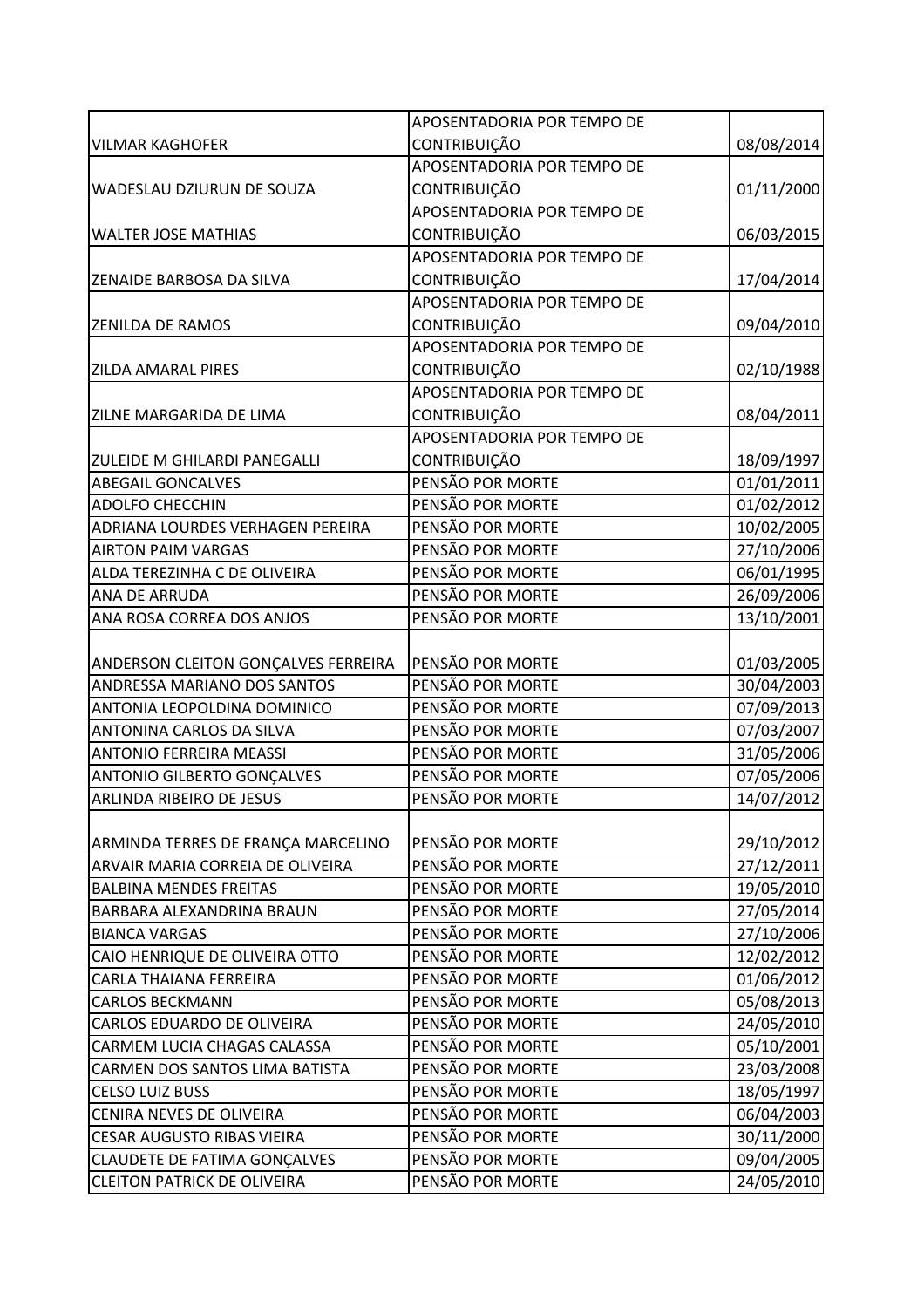|                                     | APOSENTADORIA POR TEMPO DE |            |
|-------------------------------------|----------------------------|------------|
| <b>VILMAR KAGHOFER</b>              | <b>CONTRIBUIÇÃO</b>        | 08/08/2014 |
|                                     | APOSENTADORIA POR TEMPO DE |            |
| WADESLAU DZIURUN DE SOUZA           | CONTRIBUIÇÃO               | 01/11/2000 |
|                                     | APOSENTADORIA POR TEMPO DE |            |
| <b>WALTER JOSE MATHIAS</b>          | <b>CONTRIBUIÇÃO</b>        | 06/03/2015 |
|                                     | APOSENTADORIA POR TEMPO DE |            |
| ZENAIDE BARBOSA DA SILVA            | CONTRIBUIÇÃO               | 17/04/2014 |
|                                     | APOSENTADORIA POR TEMPO DE |            |
| <b>ZENILDA DE RAMOS</b>             | <b>CONTRIBUIÇÃO</b>        | 09/04/2010 |
|                                     | APOSENTADORIA POR TEMPO DE |            |
| <b>ZILDA AMARAL PIRES</b>           | CONTRIBUIÇÃO               | 02/10/1988 |
|                                     | APOSENTADORIA POR TEMPO DE |            |
| ZILNE MARGARIDA DE LIMA             | <b>CONTRIBUIÇÃO</b>        | 08/04/2011 |
|                                     | APOSENTADORIA POR TEMPO DE |            |
| ZULEIDE M GHILARDI PANEGALLI        | CONTRIBUIÇÃO               | 18/09/1997 |
| <b>ABEGAIL GONCALVES</b>            | PENSÃO POR MORTE           | 01/01/2011 |
| <b>ADOLFO CHECCHIN</b>              | PENSÃO POR MORTE           | 01/02/2012 |
| ADRIANA LOURDES VERHAGEN PEREIRA    | PENSÃO POR MORTE           | 10/02/2005 |
| <b>AIRTON PAIM VARGAS</b>           | PENSÃO POR MORTE           | 27/10/2006 |
| ALDA TEREZINHA C DE OLIVEIRA        | PENSÃO POR MORTE           | 06/01/1995 |
| ANA DE ARRUDA                       | PENSÃO POR MORTE           | 26/09/2006 |
| ANA ROSA CORREA DOS ANJOS           | PENSÃO POR MORTE           | 13/10/2001 |
|                                     |                            |            |
| ANDERSON CLEITON GONÇALVES FERREIRA | PENSÃO POR MORTE           | 01/03/2005 |
| ANDRESSA MARIANO DOS SANTOS         | PENSÃO POR MORTE           | 30/04/2003 |
| ANTONIA LEOPOLDINA DOMINICO         | PENSÃO POR MORTE           | 07/09/2013 |
| ANTONINA CARLOS DA SILVA            | PENSÃO POR MORTE           | 07/03/2007 |
| <b>ANTONIO FERREIRA MEASSI</b>      | PENSÃO POR MORTE           | 31/05/2006 |
| ANTONIO GILBERTO GONÇALVES          | PENSÃO POR MORTE           | 07/05/2006 |
| ARLINDA RIBEIRO DE JESUS            | PENSÃO POR MORTE           | 14/07/2012 |
|                                     |                            |            |
| ARMINDA TERRES DE FRANÇA MARCELINO  | PENSÃO POR MORTE           | 29/10/2012 |
| ARVAIR MARIA CORREIA DE OLIVEIRA    | PENSÃO POR MORTE           | 27/12/2011 |
| <b>BALBINA MENDES FREITAS</b>       | PENSÃO POR MORTE           | 19/05/2010 |
| BARBARA ALEXANDRINA BRAUN           | PENSÃO POR MORTE           | 27/05/2014 |
| <b>BIANCA VARGAS</b>                | PENSÃO POR MORTE           | 27/10/2006 |
| CAIO HENRIQUE DE OLIVEIRA OTTO      | PENSÃO POR MORTE           | 12/02/2012 |
| CARLA THAIANA FERREIRA              | PENSÃO POR MORTE           | 01/06/2012 |
| <b>CARLOS BECKMANN</b>              | PENSÃO POR MORTE           | 05/08/2013 |
| CARLOS EDUARDO DE OLIVEIRA          | PENSÃO POR MORTE           | 24/05/2010 |
| CARMEM LUCIA CHAGAS CALASSA         | PENSÃO POR MORTE           | 05/10/2001 |
| CARMEN DOS SANTOS LIMA BATISTA      | PENSÃO POR MORTE           | 23/03/2008 |
| <b>CELSO LUIZ BUSS</b>              | PENSÃO POR MORTE           | 18/05/1997 |
| CENIRA NEVES DE OLIVEIRA            | PENSÃO POR MORTE           | 06/04/2003 |
| <b>CESAR AUGUSTO RIBAS VIEIRA</b>   | PENSÃO POR MORTE           | 30/11/2000 |
| <b>CLAUDETE DE FATIMA GONÇALVES</b> | PENSÃO POR MORTE           | 09/04/2005 |
| <b>CLEITON PATRICK DE OLIVEIRA</b>  | PENSÃO POR MORTE           | 24/05/2010 |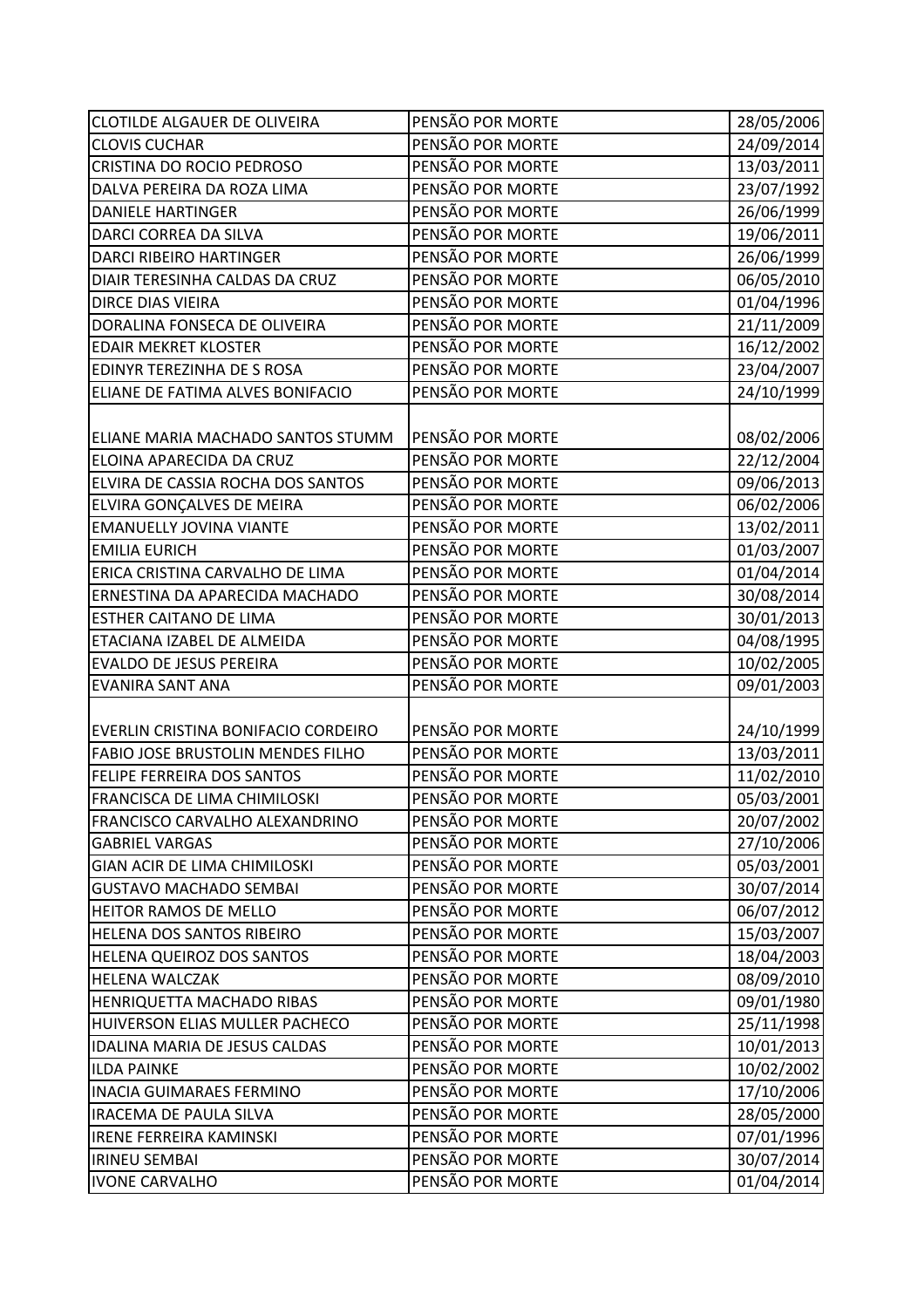| <b>CLOTILDE ALGAUER DE OLIVEIRA</b>      | PENSÃO POR MORTE | 28/05/2006 |
|------------------------------------------|------------------|------------|
| <b>CLOVIS CUCHAR</b>                     | PENSÃO POR MORTE | 24/09/2014 |
| CRISTINA DO ROCIO PEDROSO                | PENSÃO POR MORTE | 13/03/2011 |
| DALVA PEREIRA DA ROZA LIMA               | PENSÃO POR MORTE | 23/07/1992 |
| <b>DANIELE HARTINGER</b>                 | PENSÃO POR MORTE | 26/06/1999 |
| DARCI CORREA DA SILVA                    | PENSÃO POR MORTE | 19/06/2011 |
| <b>DARCI RIBEIRO HARTINGER</b>           | PENSÃO POR MORTE | 26/06/1999 |
| DIAIR TERESINHA CALDAS DA CRUZ           | PENSÃO POR MORTE | 06/05/2010 |
| DIRCE DIAS VIEIRA                        | PENSÃO POR MORTE | 01/04/1996 |
| DORALINA FONSECA DE OLIVEIRA             | PENSÃO POR MORTE | 21/11/2009 |
| <b>EDAIR MEKRET KLOSTER</b>              | PENSÃO POR MORTE | 16/12/2002 |
| EDINYR TEREZINHA DE S ROSA               | PENSÃO POR MORTE | 23/04/2007 |
| ELIANE DE FATIMA ALVES BONIFACIO         | PENSÃO POR MORTE | 24/10/1999 |
|                                          |                  |            |
| ELIANE MARIA MACHADO SANTOS STUMM        | PENSÃO POR MORTE | 08/02/2006 |
| ELOINA APARECIDA DA CRUZ                 | PENSÃO POR MORTE | 22/12/2004 |
| ELVIRA DE CASSIA ROCHA DOS SANTOS        | PENSÃO POR MORTE | 09/06/2013 |
| ELVIRA GONÇALVES DE MEIRA                | PENSÃO POR MORTE | 06/02/2006 |
| <b>EMANUELLY JOVINA VIANTE</b>           | PENSÃO POR MORTE | 13/02/2011 |
| <b>EMILIA EURICH</b>                     | PENSÃO POR MORTE | 01/03/2007 |
| ERICA CRISTINA CARVALHO DE LIMA          | PENSÃO POR MORTE | 01/04/2014 |
| ERNESTINA DA APARECIDA MACHADO           | PENSÃO POR MORTE | 30/08/2014 |
| <b>ESTHER CAITANO DE LIMA</b>            | PENSÃO POR MORTE | 30/01/2013 |
| ETACIANA IZABEL DE ALMEIDA               | PENSÃO POR MORTE | 04/08/1995 |
| <b>EVALDO DE JESUS PEREIRA</b>           | PENSÃO POR MORTE | 10/02/2005 |
| <b>EVANIRA SANT ANA</b>                  | PENSÃO POR MORTE | 09/01/2003 |
|                                          |                  |            |
| EVERLIN CRISTINA BONIFACIO CORDEIRO      | PENSÃO POR MORTE | 24/10/1999 |
| <b>FABIO JOSE BRUSTOLIN MENDES FILHO</b> | PENSÃO POR MORTE | 13/03/2011 |
| FELIPE FERREIRA DOS SANTOS               | PENSÃO POR MORTE | 11/02/2010 |
| FRANCISCA DE LIMA CHIMILOSKI             | PENSÃO POR MORTE | 05/03/2001 |
| FRANCISCO CARVALHO ALEXANDRINO           | PENSÃO POR MORTE | 20/07/2002 |
| <b>GABRIEL VARGAS</b>                    | PENSÃO POR MORTE | 27/10/2006 |
| GIAN ACIR DE LIMA CHIMILOSKI             | PENSÃO POR MORTE | 05/03/2001 |
| <b>GUSTAVO MACHADO SEMBAI</b>            | PENSÃO POR MORTE | 30/07/2014 |
| HEITOR RAMOS DE MELLO                    | PENSÃO POR MORTE | 06/07/2012 |
| HELENA DOS SANTOS RIBEIRO                | PENSÃO POR MORTE | 15/03/2007 |
| HELENA QUEIROZ DOS SANTOS                | PENSÃO POR MORTE | 18/04/2003 |
| <b>HELENA WALCZAK</b>                    | PENSÃO POR MORTE | 08/09/2010 |
| HENRIQUETTA MACHADO RIBAS                | PENSÃO POR MORTE | 09/01/1980 |
| HUIVERSON ELIAS MULLER PACHECO           | PENSÃO POR MORTE | 25/11/1998 |
| IDALINA MARIA DE JESUS CALDAS            | PENSÃO POR MORTE | 10/01/2013 |
| <b>ILDA PAINKE</b>                       | PENSÃO POR MORTE | 10/02/2002 |
| <b>INACIA GUIMARAES FERMINO</b>          | PENSÃO POR MORTE | 17/10/2006 |
| <b>IRACEMA DE PAULA SILVA</b>            | PENSÃO POR MORTE | 28/05/2000 |
| <b>IRENE FERREIRA KAMINSKI</b>           | PENSÃO POR MORTE | 07/01/1996 |
| <b>IRINEU SEMBAI</b>                     | PENSÃO POR MORTE | 30/07/2014 |
| <b>IVONE CARVALHO</b>                    | PENSÃO POR MORTE | 01/04/2014 |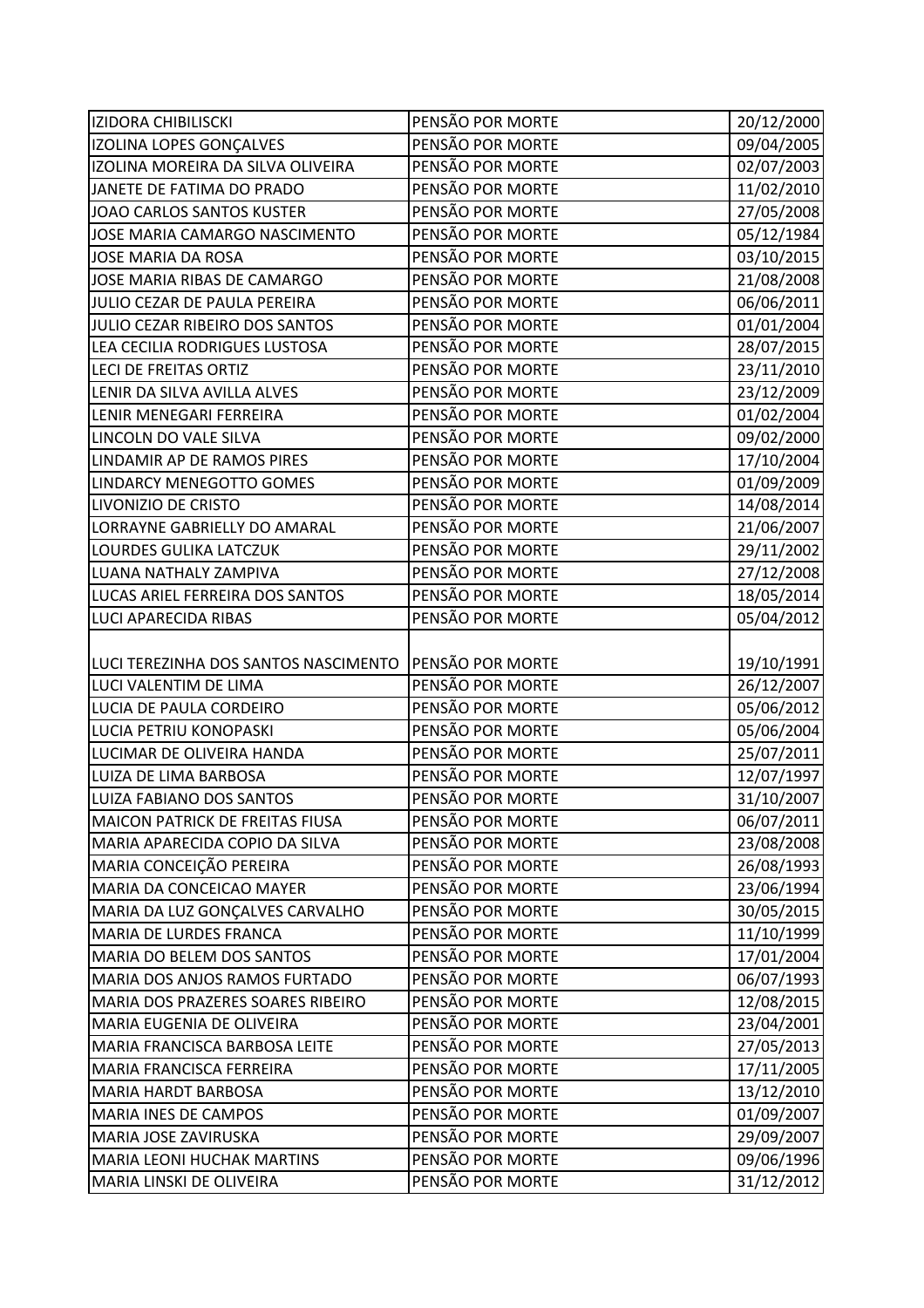| <b>IZIDORA CHIBILISCKI</b>             | PENSÃO POR MORTE | 20/12/2000 |
|----------------------------------------|------------------|------------|
| IZOLINA LOPES GONÇALVES                | PENSÃO POR MORTE | 09/04/2005 |
| IZOLINA MOREIRA DA SILVA OLIVEIRA      | PENSÃO POR MORTE | 02/07/2003 |
| JANETE DE FATIMA DO PRADO              | PENSÃO POR MORTE | 11/02/2010 |
| JOAO CARLOS SANTOS KUSTER              | PENSÃO POR MORTE | 27/05/2008 |
| JOSE MARIA CAMARGO NASCIMENTO          | PENSÃO POR MORTE | 05/12/1984 |
| JOSE MARIA DA ROSA                     | PENSÃO POR MORTE | 03/10/2015 |
| JOSE MARIA RIBAS DE CAMARGO            | PENSÃO POR MORTE | 21/08/2008 |
| JULIO CEZAR DE PAULA PEREIRA           | PENSÃO POR MORTE | 06/06/2011 |
| JULIO CEZAR RIBEIRO DOS SANTOS         | PENSÃO POR MORTE | 01/01/2004 |
| LEA CECILIA RODRIGUES LUSTOSA          | PENSÃO POR MORTE | 28/07/2015 |
| <b>LECI DE FREITAS ORTIZ</b>           | PENSÃO POR MORTE | 23/11/2010 |
| LENIR DA SILVA AVILLA ALVES            | PENSÃO POR MORTE | 23/12/2009 |
| LENIR MENEGARI FERREIRA                | PENSÃO POR MORTE | 01/02/2004 |
| LINCOLN DO VALE SILVA                  | PENSÃO POR MORTE | 09/02/2000 |
| LINDAMIR AP DE RAMOS PIRES             | PENSÃO POR MORTE | 17/10/2004 |
| LINDARCY MENEGOTTO GOMES               | PENSÃO POR MORTE | 01/09/2009 |
| LIVONIZIO DE CRISTO                    | PENSÃO POR MORTE | 14/08/2014 |
| LORRAYNE GABRIELLY DO AMARAL           | PENSÃO POR MORTE | 21/06/2007 |
| LOURDES GULIKA LATCZUK                 | PENSÃO POR MORTE | 29/11/2002 |
| LUANA NATHALY ZAMPIVA                  | PENSÃO POR MORTE | 27/12/2008 |
| LUCAS ARIEL FERREIRA DOS SANTOS        | PENSÃO POR MORTE | 18/05/2014 |
| <b>LUCI APARECIDA RIBAS</b>            | PENSÃO POR MORTE | 05/04/2012 |
|                                        |                  |            |
| LUCI TEREZINHA DOS SANTOS NASCIMENTO   | PENSÃO POR MORTE | 19/10/1991 |
| LUCI VALENTIM DE LIMA                  | PENSÃO POR MORTE | 26/12/2007 |
| LUCIA DE PAULA CORDEIRO                | PENSÃO POR MORTE | 05/06/2012 |
| LUCIA PETRIU KONOPASKI                 | PENSÃO POR MORTE | 05/06/2004 |
| LUCIMAR DE OLIVEIRA HANDA              | PENSÃO POR MORTE | 25/07/2011 |
| LUIZA DE LIMA BARBOSA                  | PENSÃO POR MORTE | 12/07/1997 |
| LUIZA FABIANO DOS SANTOS               | PENSÃO POR MORTE | 31/10/2007 |
| <b>MAICON PATRICK DE FREITAS FIUSA</b> | PENSÃO POR MORTE | 06/07/2011 |
| MARIA APARECIDA COPIO DA SILVA         | PENSÃO POR MORTE | 23/08/2008 |
| MARIA CONCEIÇÃO PEREIRA                | PENSÃO POR MORTE | 26/08/1993 |
| MARIA DA CONCEICAO MAYER               | PENSÃO POR MORTE | 23/06/1994 |
| MARIA DA LUZ GONÇALVES CARVALHO        | PENSÃO POR MORTE | 30/05/2015 |
| <b>MARIA DE LURDES FRANCA</b>          | PENSÃO POR MORTE | 11/10/1999 |
| <b>MARIA DO BELEM DOS SANTOS</b>       | PENSÃO POR MORTE | 17/01/2004 |
| MARIA DOS ANJOS RAMOS FURTADO          | PENSÃO POR MORTE | 06/07/1993 |
| MARIA DOS PRAZERES SOARES RIBEIRO      | PENSÃO POR MORTE | 12/08/2015 |
| MARIA EUGENIA DE OLIVEIRA              | PENSÃO POR MORTE | 23/04/2001 |
| MARIA FRANCISCA BARBOSA LEITE          | PENSÃO POR MORTE | 27/05/2013 |
| <b>MARIA FRANCISCA FERREIRA</b>        | PENSÃO POR MORTE | 17/11/2005 |
| <b>MARIA HARDT BARBOSA</b>             | PENSÃO POR MORTE | 13/12/2010 |
| <b>MARIA INES DE CAMPOS</b>            | PENSÃO POR MORTE | 01/09/2007 |
| MARIA JOSE ZAVIRUSKA                   | PENSÃO POR MORTE | 29/09/2007 |
| <b>MARIA LEONI HUCHAK MARTINS</b>      | PENSÃO POR MORTE | 09/06/1996 |
|                                        |                  |            |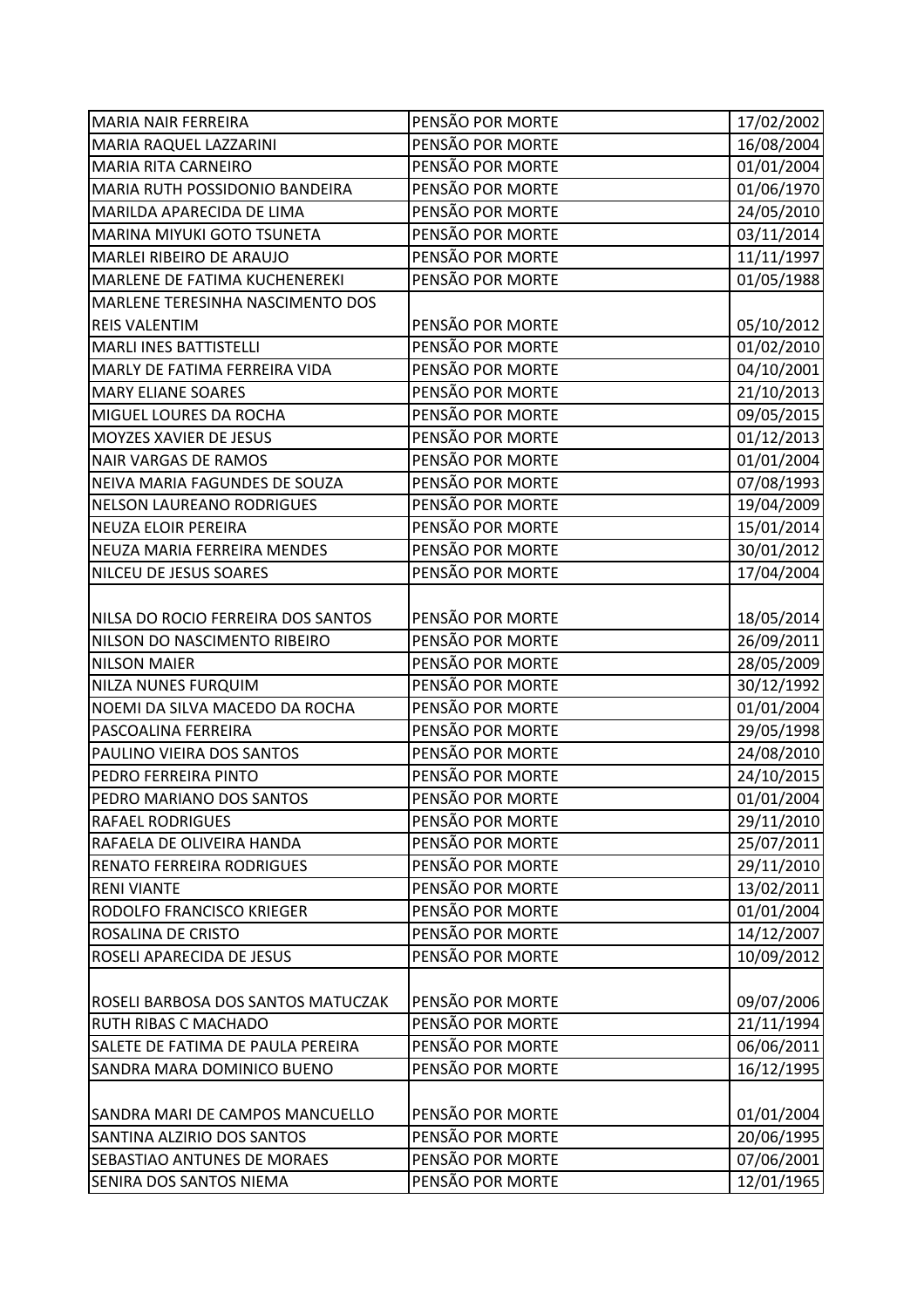| <b>MARIA NAIR FERREIRA</b>             | PENSÃO POR MORTE | 17/02/2002 |
|----------------------------------------|------------------|------------|
| MARIA RAQUEL LAZZARINI                 | PENSÃO POR MORTE | 16/08/2004 |
| <b>MARIA RITA CARNEIRO</b>             | PENSÃO POR MORTE | 01/01/2004 |
| MARIA RUTH POSSIDONIO BANDEIRA         | PENSÃO POR MORTE | 01/06/1970 |
| MARILDA APARECIDA DE LIMA              | PENSÃO POR MORTE | 24/05/2010 |
| <b>MARINA MIYUKI GOTO TSUNETA</b>      | PENSÃO POR MORTE | 03/11/2014 |
| MARLEI RIBEIRO DE ARAUJO               | PENSÃO POR MORTE | 11/11/1997 |
| MARLENE DE FATIMA KUCHENEREKI          | PENSÃO POR MORTE | 01/05/1988 |
| MARLENE TERESINHA NASCIMENTO DOS       |                  |            |
| <b>REIS VALENTIM</b>                   | PENSÃO POR MORTE | 05/10/2012 |
| <b>MARLI INES BATTISTELLI</b>          | PENSÃO POR MORTE | 01/02/2010 |
| MARLY DE FATIMA FERREIRA VIDA          | PENSÃO POR MORTE | 04/10/2001 |
| <b>MARY ELIANE SOARES</b>              | PENSÃO POR MORTE | 21/10/2013 |
| MIGUEL LOURES DA ROCHA                 | PENSÃO POR MORTE | 09/05/2015 |
| MOYZES XAVIER DE JESUS                 | PENSÃO POR MORTE | 01/12/2013 |
| <b>NAIR VARGAS DE RAMOS</b>            | PENSÃO POR MORTE | 01/01/2004 |
| NEIVA MARIA FAGUNDES DE SOUZA          | PENSÃO POR MORTE | 07/08/1993 |
| <b>NELSON LAUREANO RODRIGUES</b>       | PENSÃO POR MORTE | 19/04/2009 |
| <b>NEUZA ELOIR PEREIRA</b>             | PENSÃO POR MORTE | 15/01/2014 |
| NEUZA MARIA FERREIRA MENDES            | PENSÃO POR MORTE | 30/01/2012 |
| NILCEU DE JESUS SOARES                 | PENSÃO POR MORTE | 17/04/2004 |
|                                        |                  |            |
| NILSA DO ROCIO FERREIRA DOS SANTOS     | PENSÃO POR MORTE | 18/05/2014 |
| NILSON DO NASCIMENTO RIBEIRO           | PENSÃO POR MORTE | 26/09/2011 |
| <b>NILSON MAIER</b>                    | PENSÃO POR MORTE | 28/05/2009 |
| NILZA NUNES FURQUIM                    | PENSÃO POR MORTE | 30/12/1992 |
| NOEMI DA SILVA MACEDO DA ROCHA         | PENSÃO POR MORTE | 01/01/2004 |
| PASCOALINA FERREIRA                    | PENSÃO POR MORTE | 29/05/1998 |
| PAULINO VIEIRA DOS SANTOS              | PENSÃO POR MORTE | 24/08/2010 |
| PEDRO FERREIRA PINTO                   | PENSÃO POR MORTE | 24/10/2015 |
| PEDRO MARIANO DOS SANTOS               | PENSÃO POR MORTE | 01/01/2004 |
| <b>RAFAEL RODRIGUES</b>                | PENSÃO POR MORTE | 29/11/2010 |
| RAFAELA DE OLIVEIRA HANDA              | PENSÃO POR MORTE | 25/07/2011 |
| <b>RENATO FERREIRA RODRIGUES</b>       | PENSÃO POR MORTE | 29/11/2010 |
| <b>RENI VIANTE</b>                     | PENSÃO POR MORTE | 13/02/2011 |
| RODOLFO FRANCISCO KRIEGER              | PENSÃO POR MORTE | 01/01/2004 |
| ROSALINA DE CRISTO                     | PENSÃO POR MORTE | 14/12/2007 |
| ROSELI APARECIDA DE JESUS              | PENSÃO POR MORTE | 10/09/2012 |
|                                        |                  |            |
| ROSELI BARBOSA DOS SANTOS MATUCZAK     | PENSÃO POR MORTE | 09/07/2006 |
| RUTH RIBAS C MACHADO                   | PENSÃO POR MORTE | 21/11/1994 |
| SALETE DE FATIMA DE PAULA PEREIRA      | PENSÃO POR MORTE | 06/06/2011 |
| SANDRA MARA DOMINICO BUENO             | PENSÃO POR MORTE | 16/12/1995 |
|                                        |                  |            |
| <b>SANDRA MARI DE CAMPOS MANCUELLO</b> | PENSÃO POR MORTE | 01/01/2004 |
| SANTINA ALZIRIO DOS SANTOS             | PENSÃO POR MORTE | 20/06/1995 |
| SEBASTIAO ANTUNES DE MORAES            | PENSÃO POR MORTE | 07/06/2001 |
| SENIRA DOS SANTOS NIEMA                | PENSÃO POR MORTE | 12/01/1965 |